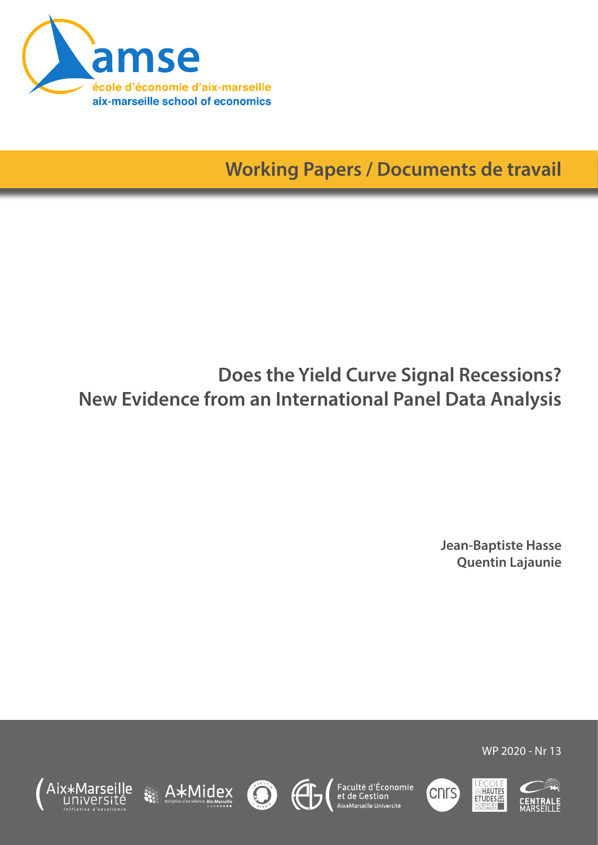

**Working Papers / Documents de travail**

# **Does the Yield Curve Signal Recessions? New Evidence from an International Panel Data Analysis**

**Jean-Baptiste Hasse Quentin Lajaunie**













WP 2020 - Nr 13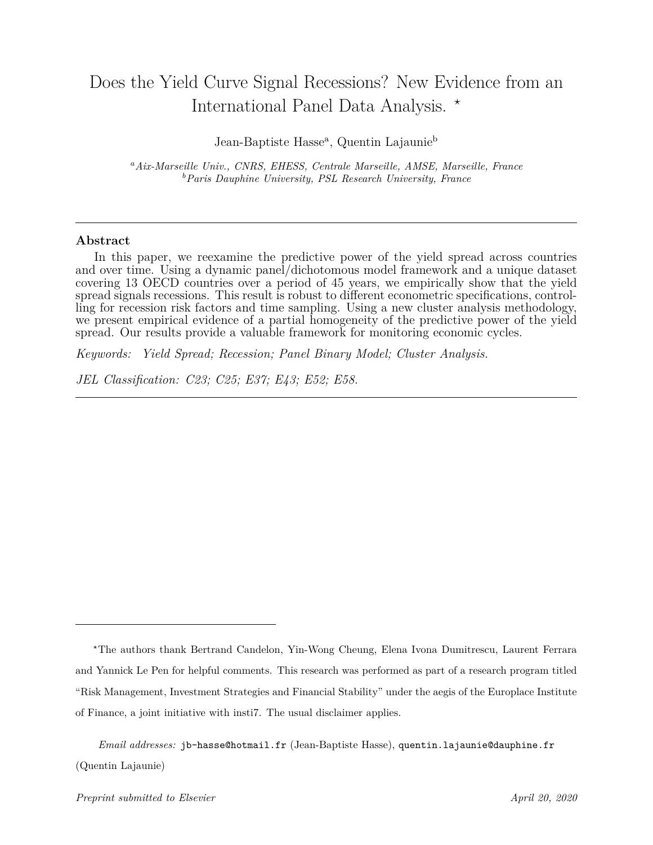## Does the Yield Curve Signal Recessions? New Evidence from an International Panel Data Analysis. *?*

Jean-Baptiste Hasse<sup>a</sup>, Quentin Lajaunie<sup>b</sup>

*<sup>a</sup>Aix-Marseille Univ., CNRS, EHESS, Centrale Marseille, AMSE, Marseille, France <sup>b</sup>Paris Dauphine University, PSL Research University, France*

#### **Abstract**

In this paper, we reexamine the predictive power of the yield spread across countries and over time. Using a dynamic panel/dichotomous model framework and a unique dataset covering 13 OECD countries over a period of 45 years, we empirically show that the yield spread signals recessions. This result is robust to different econometric specifications, controlling for recession risk factors and time sampling. Using a new cluster analysis methodology, we present empirical evidence of a partial homogeneity of the predictive power of the yield spread. Our results provide a valuable framework for monitoring economic cycles.

*Keywords: Yield Spread; Recession; Panel Binary Model; Cluster Analysis.*

*JEL Classification: C23; C25; E37; E43; E52; E58.*

*<sup>?</sup>*The authors thank Bertrand Candelon, Yin-Wong Cheung, Elena Ivona Dumitrescu, Laurent Ferrara and Yannick Le Pen for helpful comments. This research was performed as part of a research program titled "Risk Management, Investment Strategies and Financial Stability" under the aegis of the Europlace Institute of Finance, a joint initiative with insti7. The usual disclaimer applies.

*Email addresses:* jb-hasse@hotmail.fr (Jean-Baptiste Hasse), quentin.lajaunie@dauphine.fr (Quentin Lajaunie)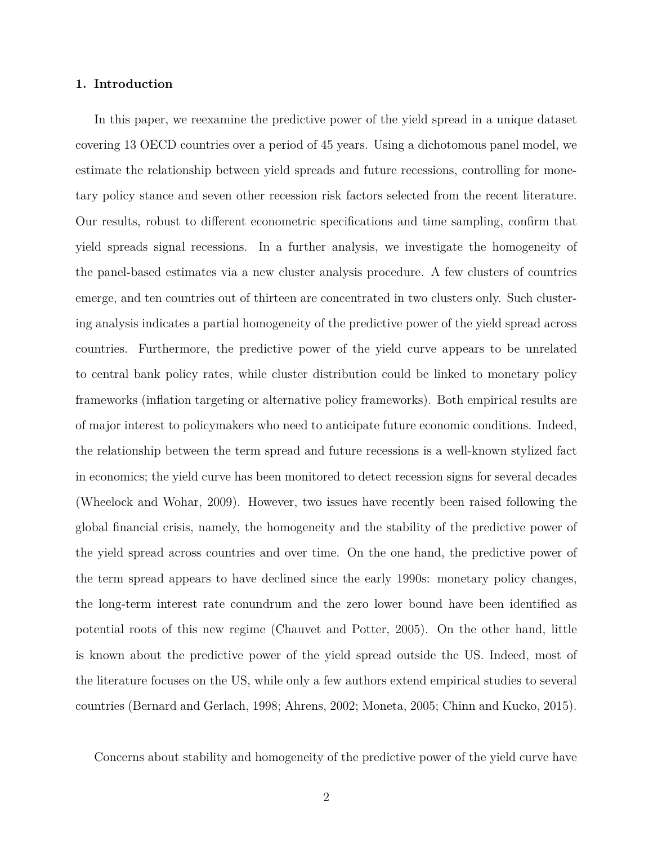#### **1. Introduction**

In this paper, we reexamine the predictive power of the yield spread in a unique dataset covering 13 OECD countries over a period of 45 years. Using a dichotomous panel model, we estimate the relationship between yield spreads and future recessions, controlling for monetary policy stance and seven other recession risk factors selected from the recent literature. Our results, robust to different econometric specifications and time sampling, confirm that yield spreads signal recessions. In a further analysis, we investigate the homogeneity of the panel-based estimates via a new cluster analysis procedure. A few clusters of countries emerge, and ten countries out of thirteen are concentrated in two clusters only. Such clustering analysis indicates a partial homogeneity of the predictive power of the yield spread across countries. Furthermore, the predictive power of the yield curve appears to be unrelated to central bank policy rates, while cluster distribution could be linked to monetary policy frameworks (inflation targeting or alternative policy frameworks). Both empirical results are of major interest to policymakers who need to anticipate future economic conditions. Indeed, the relationship between the term spread and future recessions is a well-known stylized fact in economics; the yield curve has been monitored to detect recession signs for several decades (Wheelock and Wohar, 2009). However, two issues have recently been raised following the global financial crisis, namely, the homogeneity and the stability of the predictive power of the yield spread across countries and over time. On the one hand, the predictive power of the term spread appears to have declined since the early 1990s: monetary policy changes, the long-term interest rate conundrum and the zero lower bound have been identified as potential roots of this new regime (Chauvet and Potter, 2005). On the other hand, little is known about the predictive power of the yield spread outside the US. Indeed, most of the literature focuses on the US, while only a few authors extend empirical studies to several countries (Bernard and Gerlach, 1998; Ahrens, 2002; Moneta, 2005; Chinn and Kucko, 2015).

Concerns about stability and homogeneity of the predictive power of the yield curve have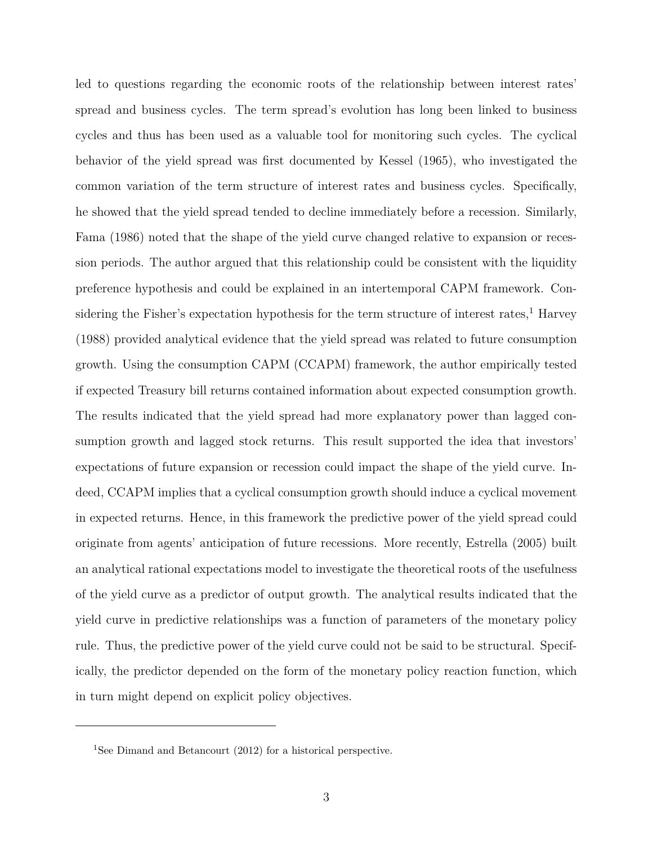led to questions regarding the economic roots of the relationship between interest rates' spread and business cycles. The term spread's evolution has long been linked to business cycles and thus has been used as a valuable tool for monitoring such cycles. The cyclical behavior of the yield spread was first documented by Kessel (1965), who investigated the common variation of the term structure of interest rates and business cycles. Specifically, he showed that the yield spread tended to decline immediately before a recession. Similarly, Fama (1986) noted that the shape of the yield curve changed relative to expansion or recession periods. The author argued that this relationship could be consistent with the liquidity preference hypothesis and could be explained in an intertemporal CAPM framework. Considering the Fisher's expectation hypothesis for the term structure of interest rates, $<sup>1</sup>$  Harvey</sup> (1988) provided analytical evidence that the yield spread was related to future consumption growth. Using the consumption CAPM (CCAPM) framework, the author empirically tested if expected Treasury bill returns contained information about expected consumption growth. The results indicated that the yield spread had more explanatory power than lagged consumption growth and lagged stock returns. This result supported the idea that investors' expectations of future expansion or recession could impact the shape of the yield curve. Indeed, CCAPM implies that a cyclical consumption growth should induce a cyclical movement in expected returns. Hence, in this framework the predictive power of the yield spread could originate from agents' anticipation of future recessions. More recently, Estrella (2005) built an analytical rational expectations model to investigate the theoretical roots of the usefulness of the yield curve as a predictor of output growth. The analytical results indicated that the yield curve in predictive relationships was a function of parameters of the monetary policy rule. Thus, the predictive power of the yield curve could not be said to be structural. Specifically, the predictor depended on the form of the monetary policy reaction function, which in turn might depend on explicit policy objectives.

<sup>&</sup>lt;sup>1</sup>See Dimand and Betancourt (2012) for a historical perspective.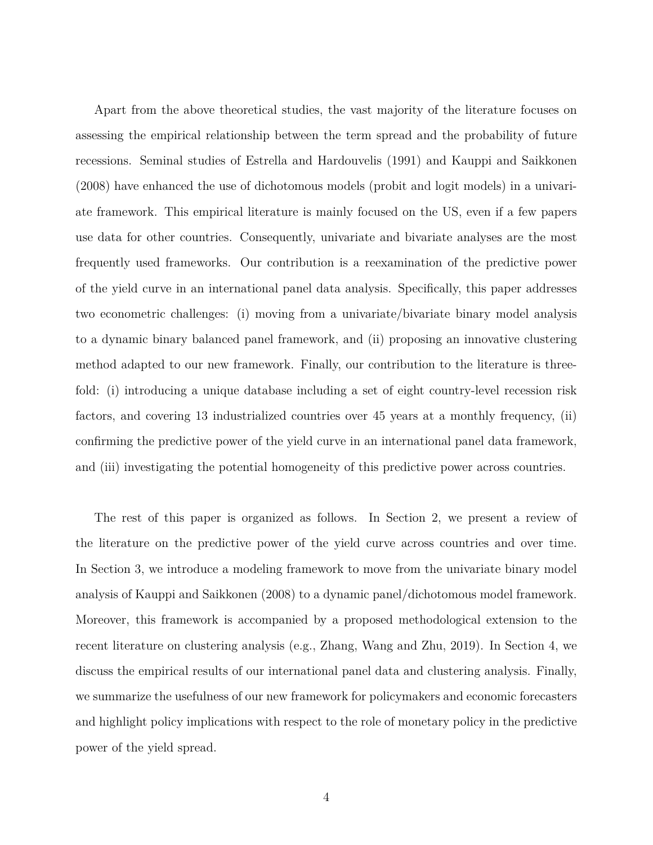Apart from the above theoretical studies, the vast majority of the literature focuses on assessing the empirical relationship between the term spread and the probability of future recessions. Seminal studies of Estrella and Hardouvelis (1991) and Kauppi and Saikkonen (2008) have enhanced the use of dichotomous models (probit and logit models) in a univariate framework. This empirical literature is mainly focused on the US, even if a few papers use data for other countries. Consequently, univariate and bivariate analyses are the most frequently used frameworks. Our contribution is a reexamination of the predictive power of the yield curve in an international panel data analysis. Specifically, this paper addresses two econometric challenges: (i) moving from a univariate/bivariate binary model analysis to a dynamic binary balanced panel framework, and (ii) proposing an innovative clustering method adapted to our new framework. Finally, our contribution to the literature is threefold: (i) introducing a unique database including a set of eight country-level recession risk factors, and covering 13 industrialized countries over 45 years at a monthly frequency, (ii) confirming the predictive power of the yield curve in an international panel data framework, and (iii) investigating the potential homogeneity of this predictive power across countries.

The rest of this paper is organized as follows. In Section 2, we present a review of the literature on the predictive power of the yield curve across countries and over time. In Section 3, we introduce a modeling framework to move from the univariate binary model analysis of Kauppi and Saikkonen (2008) to a dynamic panel/dichotomous model framework. Moreover, this framework is accompanied by a proposed methodological extension to the recent literature on clustering analysis (e.g., Zhang, Wang and Zhu, 2019). In Section 4, we discuss the empirical results of our international panel data and clustering analysis. Finally, we summarize the usefulness of our new framework for policymakers and economic forecasters and highlight policy implications with respect to the role of monetary policy in the predictive power of the yield spread.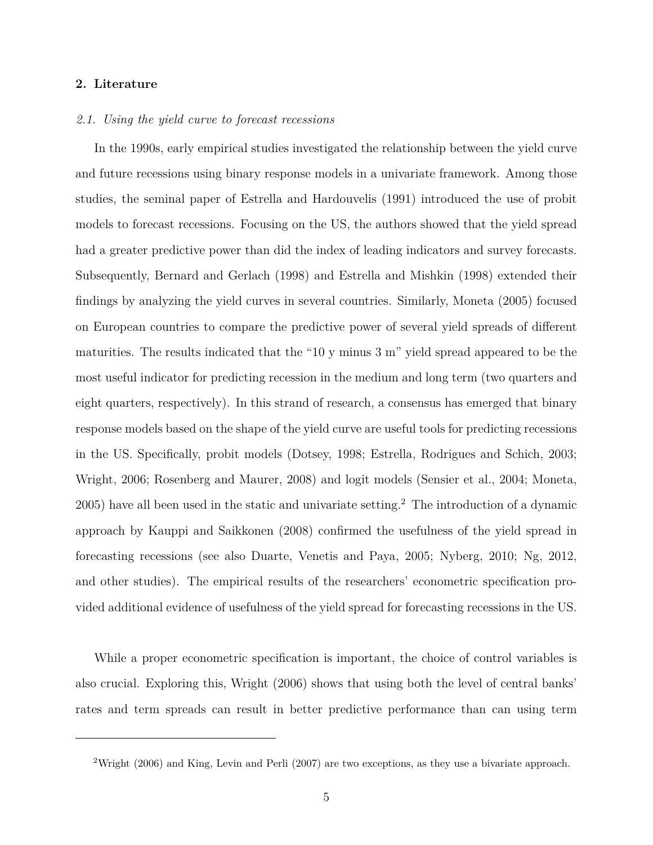#### **2. Literature**

#### *2.1. Using the yield curve to forecast recessions*

In the 1990s, early empirical studies investigated the relationship between the yield curve and future recessions using binary response models in a univariate framework. Among those studies, the seminal paper of Estrella and Hardouvelis (1991) introduced the use of probit models to forecast recessions. Focusing on the US, the authors showed that the yield spread had a greater predictive power than did the index of leading indicators and survey forecasts. Subsequently, Bernard and Gerlach (1998) and Estrella and Mishkin (1998) extended their findings by analyzing the yield curves in several countries. Similarly, Moneta (2005) focused on European countries to compare the predictive power of several yield spreads of different maturities. The results indicated that the "10 y minus 3 m" yield spread appeared to be the most useful indicator for predicting recession in the medium and long term (two quarters and eight quarters, respectively). In this strand of research, a consensus has emerged that binary response models based on the shape of the yield curve are useful tools for predicting recessions in the US. Specifically, probit models (Dotsey, 1998; Estrella, Rodrigues and Schich, 2003; Wright, 2006; Rosenberg and Maurer, 2008) and logit models (Sensier et al., 2004; Moneta, 2005) have all been used in the static and univariate setting.<sup>2</sup> The introduction of a dynamic approach by Kauppi and Saikkonen (2008) confirmed the usefulness of the yield spread in forecasting recessions (see also Duarte, Venetis and Paya, 2005; Nyberg, 2010; Ng, 2012, and other studies). The empirical results of the researchers' econometric specification provided additional evidence of usefulness of the yield spread for forecasting recessions in the US.

While a proper econometric specification is important, the choice of control variables is also crucial. Exploring this, Wright (2006) shows that using both the level of central banks' rates and term spreads can result in better predictive performance than can using term

<sup>&</sup>lt;sup>2</sup>Wright (2006) and King, Levin and Perli (2007) are two exceptions, as they use a bivariate approach.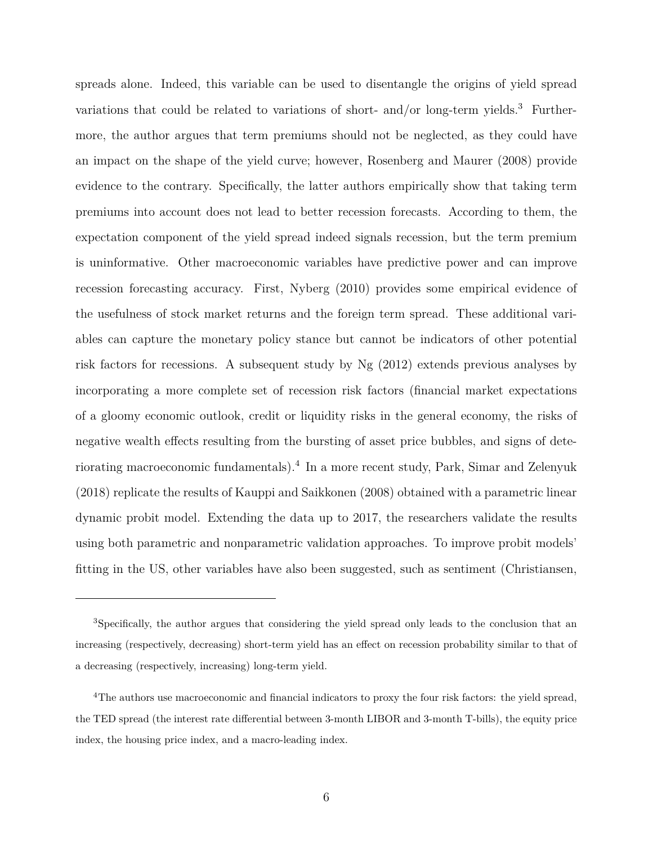spreads alone. Indeed, this variable can be used to disentangle the origins of yield spread variations that could be related to variations of short- and/or long-term yields.<sup>3</sup> Furthermore, the author argues that term premiums should not be neglected, as they could have an impact on the shape of the yield curve; however, Rosenberg and Maurer (2008) provide evidence to the contrary. Specifically, the latter authors empirically show that taking term premiums into account does not lead to better recession forecasts. According to them, the expectation component of the yield spread indeed signals recession, but the term premium is uninformative. Other macroeconomic variables have predictive power and can improve recession forecasting accuracy. First, Nyberg (2010) provides some empirical evidence of the usefulness of stock market returns and the foreign term spread. These additional variables can capture the monetary policy stance but cannot be indicators of other potential risk factors for recessions. A subsequent study by Ng (2012) extends previous analyses by incorporating a more complete set of recession risk factors (financial market expectations of a gloomy economic outlook, credit or liquidity risks in the general economy, the risks of negative wealth effects resulting from the bursting of asset price bubbles, and signs of deteriorating macroeconomic fundamentals).<sup>4</sup> In a more recent study, Park, Simar and Zelenyuk (2018) replicate the results of Kauppi and Saikkonen (2008) obtained with a parametric linear dynamic probit model. Extending the data up to 2017, the researchers validate the results using both parametric and nonparametric validation approaches. To improve probit models' fitting in the US, other variables have also been suggested, such as sentiment (Christiansen,

<sup>&</sup>lt;sup>3</sup>Specifically, the author argues that considering the yield spread only leads to the conclusion that an increasing (respectively, decreasing) short-term yield has an effect on recession probability similar to that of a decreasing (respectively, increasing) long-term yield.

<sup>&</sup>lt;sup>4</sup>The authors use macroeconomic and financial indicators to proxy the four risk factors: the yield spread, the TED spread (the interest rate differential between 3-month LIBOR and 3-month T-bills), the equity price index, the housing price index, and a macro-leading index.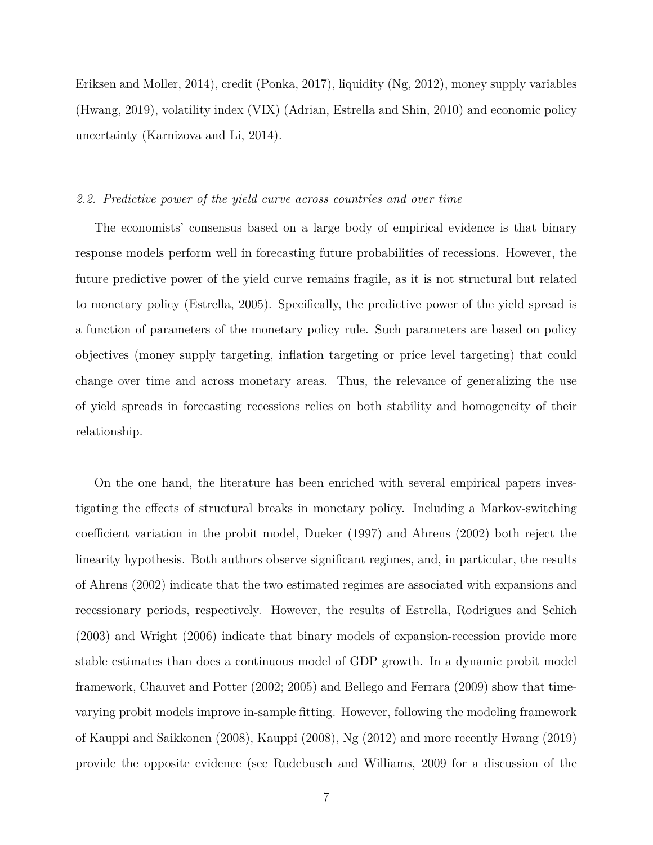Eriksen and Moller, 2014), credit (Ponka, 2017), liquidity (Ng, 2012), money supply variables (Hwang, 2019), volatility index (VIX) (Adrian, Estrella and Shin, 2010) and economic policy uncertainty (Karnizova and Li, 2014).

#### *2.2. Predictive power of the yield curve across countries and over time*

The economists' consensus based on a large body of empirical evidence is that binary response models perform well in forecasting future probabilities of recessions. However, the future predictive power of the yield curve remains fragile, as it is not structural but related to monetary policy (Estrella, 2005). Specifically, the predictive power of the yield spread is a function of parameters of the monetary policy rule. Such parameters are based on policy objectives (money supply targeting, inflation targeting or price level targeting) that could change over time and across monetary areas. Thus, the relevance of generalizing the use of yield spreads in forecasting recessions relies on both stability and homogeneity of their relationship.

On the one hand, the literature has been enriched with several empirical papers investigating the effects of structural breaks in monetary policy. Including a Markov-switching coefficient variation in the probit model, Dueker (1997) and Ahrens (2002) both reject the linearity hypothesis. Both authors observe significant regimes, and, in particular, the results of Ahrens (2002) indicate that the two estimated regimes are associated with expansions and recessionary periods, respectively. However, the results of Estrella, Rodrigues and Schich (2003) and Wright (2006) indicate that binary models of expansion-recession provide more stable estimates than does a continuous model of GDP growth. In a dynamic probit model framework, Chauvet and Potter (2002; 2005) and Bellego and Ferrara (2009) show that timevarying probit models improve in-sample fitting. However, following the modeling framework of Kauppi and Saikkonen (2008), Kauppi (2008), Ng (2012) and more recently Hwang (2019) provide the opposite evidence (see Rudebusch and Williams, 2009 for a discussion of the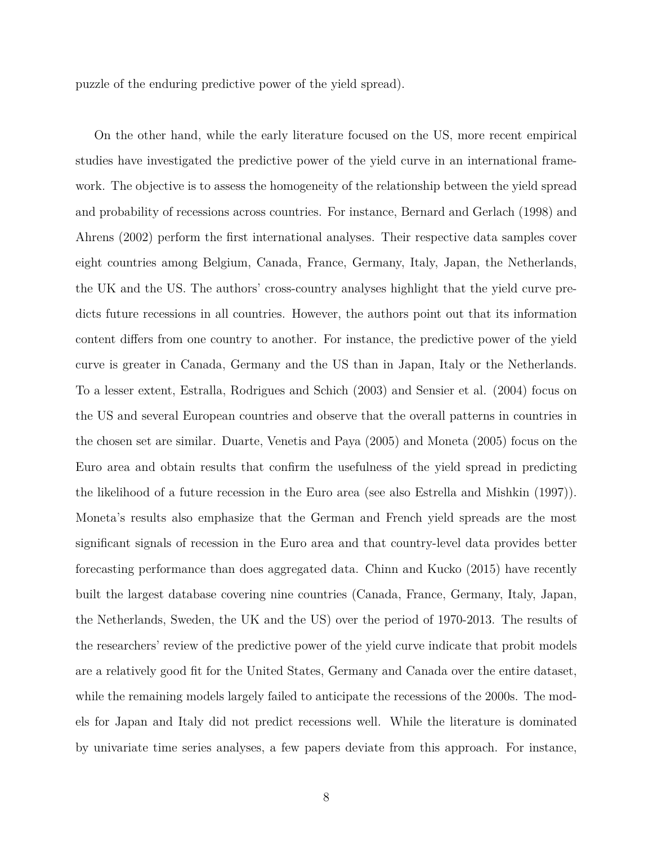puzzle of the enduring predictive power of the yield spread).

On the other hand, while the early literature focused on the US, more recent empirical studies have investigated the predictive power of the yield curve in an international framework. The objective is to assess the homogeneity of the relationship between the yield spread and probability of recessions across countries. For instance, Bernard and Gerlach (1998) and Ahrens (2002) perform the first international analyses. Their respective data samples cover eight countries among Belgium, Canada, France, Germany, Italy, Japan, the Netherlands, the UK and the US. The authors' cross-country analyses highlight that the yield curve predicts future recessions in all countries. However, the authors point out that its information content differs from one country to another. For instance, the predictive power of the yield curve is greater in Canada, Germany and the US than in Japan, Italy or the Netherlands. To a lesser extent, Estralla, Rodrigues and Schich (2003) and Sensier et al. (2004) focus on the US and several European countries and observe that the overall patterns in countries in the chosen set are similar. Duarte, Venetis and Paya (2005) and Moneta (2005) focus on the Euro area and obtain results that confirm the usefulness of the yield spread in predicting the likelihood of a future recession in the Euro area (see also Estrella and Mishkin (1997)). Moneta's results also emphasize that the German and French yield spreads are the most significant signals of recession in the Euro area and that country-level data provides better forecasting performance than does aggregated data. Chinn and Kucko (2015) have recently built the largest database covering nine countries (Canada, France, Germany, Italy, Japan, the Netherlands, Sweden, the UK and the US) over the period of 1970-2013. The results of the researchers' review of the predictive power of the yield curve indicate that probit models are a relatively good fit for the United States, Germany and Canada over the entire dataset, while the remaining models largely failed to anticipate the recessions of the 2000s. The models for Japan and Italy did not predict recessions well. While the literature is dominated by univariate time series analyses, a few papers deviate from this approach. For instance,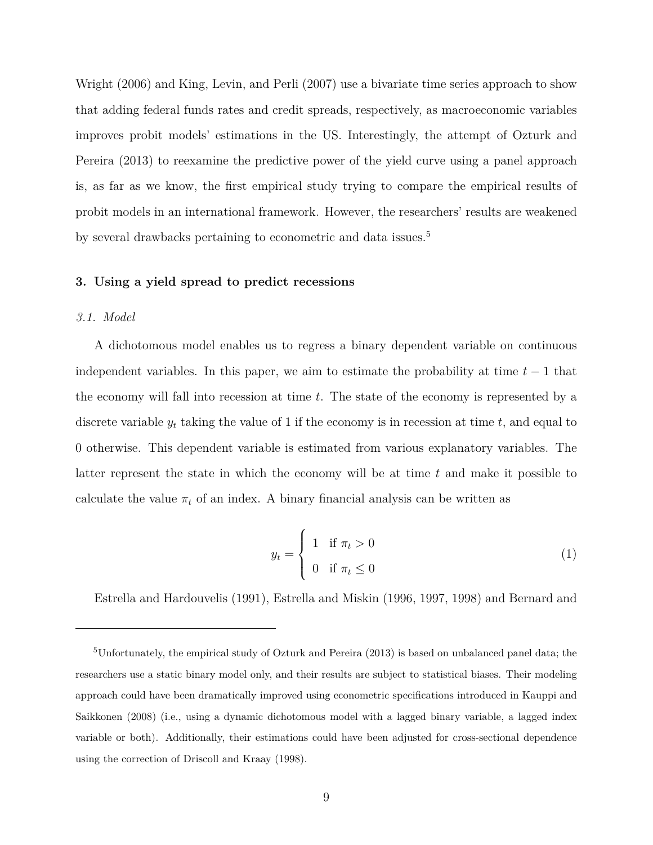Wright (2006) and King, Levin, and Perli (2007) use a bivariate time series approach to show that adding federal funds rates and credit spreads, respectively, as macroeconomic variables improves probit models' estimations in the US. Interestingly, the attempt of Ozturk and Pereira (2013) to reexamine the predictive power of the yield curve using a panel approach is, as far as we know, the first empirical study trying to compare the empirical results of probit models in an international framework. However, the researchers' results are weakened by several drawbacks pertaining to econometric and data issues.<sup>5</sup>

#### **3. Using a yield spread to predict recessions**

#### *3.1. Model*

A dichotomous model enables us to regress a binary dependent variable on continuous independent variables. In this paper, we aim to estimate the probability at time  $t-1$  that the economy will fall into recession at time *t*. The state of the economy is represented by a discrete variable *y<sup>t</sup>* taking the value of 1 if the economy is in recession at time *t*, and equal to 0 otherwise. This dependent variable is estimated from various explanatory variables. The latter represent the state in which the economy will be at time *t* and make it possible to calculate the value  $\pi_t$  of an index. A binary financial analysis can be written as

$$
y_t = \begin{cases} 1 & \text{if } \pi_t > 0 \\ 0 & \text{if } \pi_t \le 0 \end{cases}
$$
 (1)

Estrella and Hardouvelis (1991), Estrella and Miskin (1996, 1997, 1998) and Bernard and

<sup>5</sup>Unfortunately, the empirical study of Ozturk and Pereira (2013) is based on unbalanced panel data; the researchers use a static binary model only, and their results are subject to statistical biases. Their modeling approach could have been dramatically improved using econometric specifications introduced in Kauppi and Saikkonen (2008) (i.e., using a dynamic dichotomous model with a lagged binary variable, a lagged index variable or both). Additionally, their estimations could have been adjusted for cross-sectional dependence using the correction of Driscoll and Kraay (1998).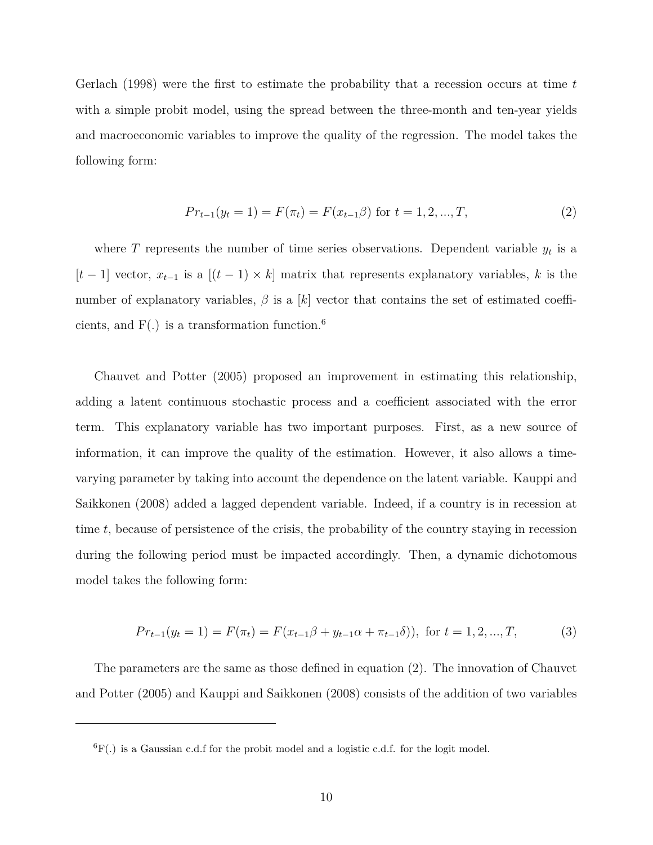Gerlach (1998) were the first to estimate the probability that a recession occurs at time *t* with a simple probit model, using the spread between the three-month and ten-year yields and macroeconomic variables to improve the quality of the regression. The model takes the following form:

$$
Pr_{t-1}(y_t = 1) = F(\pi_t) = F(x_{t-1}\beta) \text{ for } t = 1, 2, ..., T,
$$
\n(2)

where  $T$  represents the number of time series observations. Dependent variable  $y_t$  is a  $[t-1]$  vector,  $x_{t-1}$  is a  $[(t-1) \times k]$  matrix that represents explanatory variables, k is the number of explanatory variables,  $\beta$  is a [k] vector that contains the set of estimated coefficients, and  $F(.)$  is a transformation function.<sup>6</sup>

Chauvet and Potter (2005) proposed an improvement in estimating this relationship, adding a latent continuous stochastic process and a coefficient associated with the error term. This explanatory variable has two important purposes. First, as a new source of information, it can improve the quality of the estimation. However, it also allows a timevarying parameter by taking into account the dependence on the latent variable. Kauppi and Saikkonen (2008) added a lagged dependent variable. Indeed, if a country is in recession at time *t*, because of persistence of the crisis, the probability of the country staying in recession during the following period must be impacted accordingly. Then, a dynamic dichotomous model takes the following form:

$$
Pr_{t-1}(y_t = 1) = F(\pi_t) = F(x_{t-1}\beta + y_{t-1}\alpha + \pi_{t-1}\delta)), \text{ for } t = 1, 2, ..., T,
$$
 (3)

The parameters are the same as those defined in equation (2). The innovation of Chauvet and Potter (2005) and Kauppi and Saikkonen (2008) consists of the addition of two variables

 ${}^{6}F(.)$  is a Gaussian c.d.f for the probit model and a logistic c.d.f. for the logit model.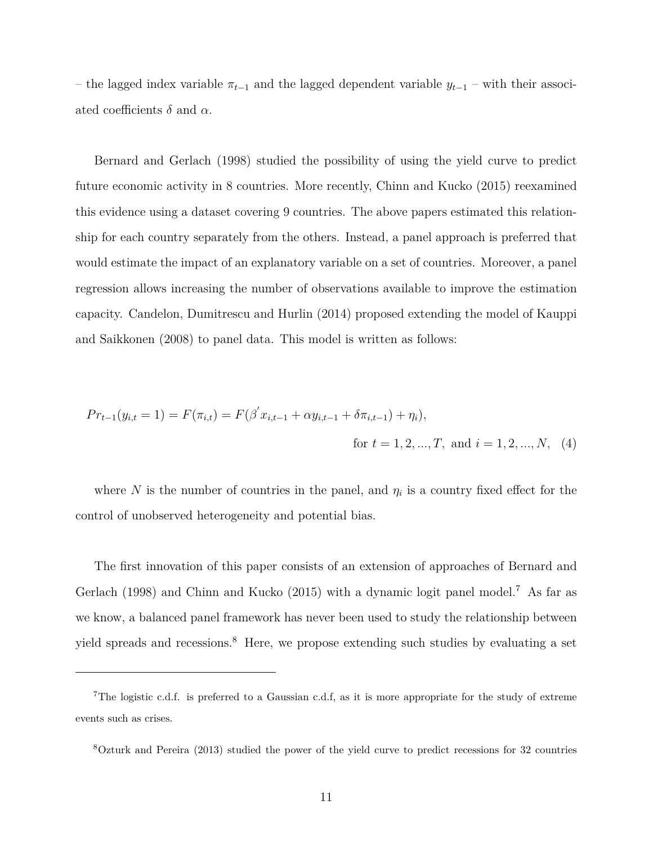– the lagged index variable *πt*−<sup>1</sup> and the lagged dependent variable *yt*−<sup>1</sup> – with their associated coefficients  $\delta$  and  $\alpha$ .

Bernard and Gerlach (1998) studied the possibility of using the yield curve to predict future economic activity in 8 countries. More recently, Chinn and Kucko (2015) reexamined this evidence using a dataset covering 9 countries. The above papers estimated this relationship for each country separately from the others. Instead, a panel approach is preferred that would estimate the impact of an explanatory variable on a set of countries. Moreover, a panel regression allows increasing the number of observations available to improve the estimation capacity. Candelon, Dumitrescu and Hurlin (2014) proposed extending the model of Kauppi and Saikkonen (2008) to panel data. This model is written as follows:

$$
Pr_{t-1}(y_{i,t} = 1) = F(\pi_{i,t}) = F(\beta' x_{i,t-1} + \alpha y_{i,t-1} + \delta \pi_{i,t-1}) + \eta_i),
$$
  
for  $t = 1, 2, ..., T$ , and  $i = 1, 2, ..., N$ , (4)

where N is the number of countries in the panel, and  $\eta_i$  is a country fixed effect for the control of unobserved heterogeneity and potential bias.

The first innovation of this paper consists of an extension of approaches of Bernard and Gerlach (1998) and Chinn and Kucko (2015) with a dynamic logit panel model.<sup>7</sup> As far as we know, a balanced panel framework has never been used to study the relationship between yield spreads and recessions.<sup>8</sup> Here, we propose extending such studies by evaluating a set

<sup>8</sup>Ozturk and Pereira (2013) studied the power of the yield curve to predict recessions for 32 countries

<sup>&</sup>lt;sup>7</sup>The logistic c.d.f. is preferred to a Gaussian c.d.f, as it is more appropriate for the study of extreme events such as crises.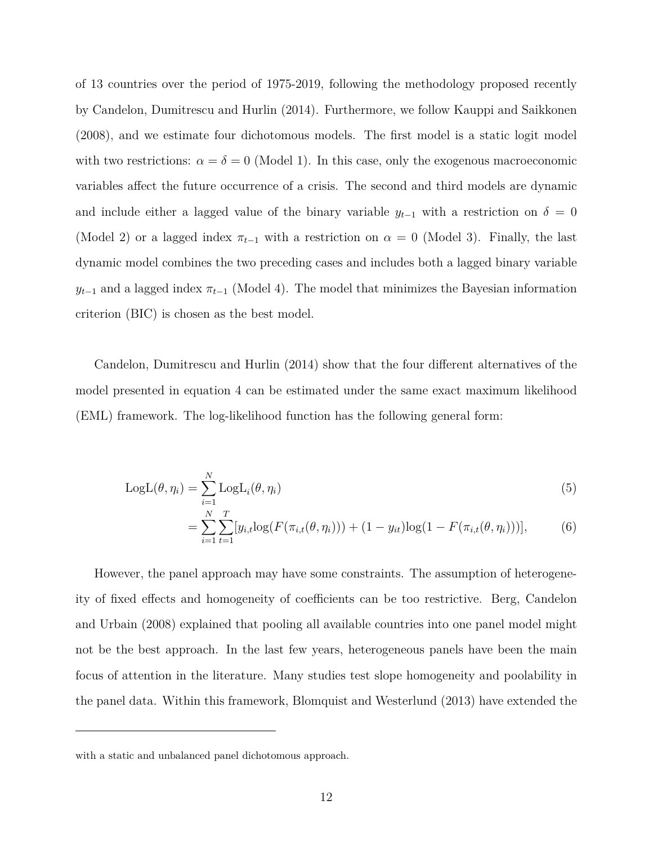of 13 countries over the period of 1975-2019, following the methodology proposed recently by Candelon, Dumitrescu and Hurlin (2014). Furthermore, we follow Kauppi and Saikkonen (2008), and we estimate four dichotomous models. The first model is a static logit model with two restrictions:  $\alpha = \delta = 0$  (Model 1). In this case, only the exogenous macroeconomic variables affect the future occurrence of a crisis. The second and third models are dynamic and include either a lagged value of the binary variable  $y_{t-1}$  with a restriction on  $\delta = 0$ (Model 2) or a lagged index  $\pi_{t-1}$  with a restriction on  $\alpha = 0$  (Model 3). Finally, the last dynamic model combines the two preceding cases and includes both a lagged binary variable  $y_{t-1}$  and a lagged index  $\pi_{t-1}$  (Model 4). The model that minimizes the Bayesian information criterion (BIC) is chosen as the best model.

Candelon, Dumitrescu and Hurlin (2014) show that the four different alternatives of the model presented in equation 4 can be estimated under the same exact maximum likelihood (EML) framework. The log-likelihood function has the following general form:

$$
LogL(\theta, \eta_i) = \sum_{i=1}^{N} LogL_i(\theta, \eta_i)
$$
\n(5)

$$
= \sum_{i=1}^{N} \sum_{t=1}^{T} [y_{i,t} \log(F(\pi_{i,t}(\theta, \eta_i))) + (1 - y_{it}) \log(1 - F(\pi_{i,t}(\theta, \eta_i)))],
$$
(6)

However, the panel approach may have some constraints. The assumption of heterogeneity of fixed effects and homogeneity of coefficients can be too restrictive. Berg, Candelon and Urbain (2008) explained that pooling all available countries into one panel model might not be the best approach. In the last few years, heterogeneous panels have been the main focus of attention in the literature. Many studies test slope homogeneity and poolability in the panel data. Within this framework, Blomquist and Westerlund (2013) have extended the

with a static and unbalanced panel dichotomous approach.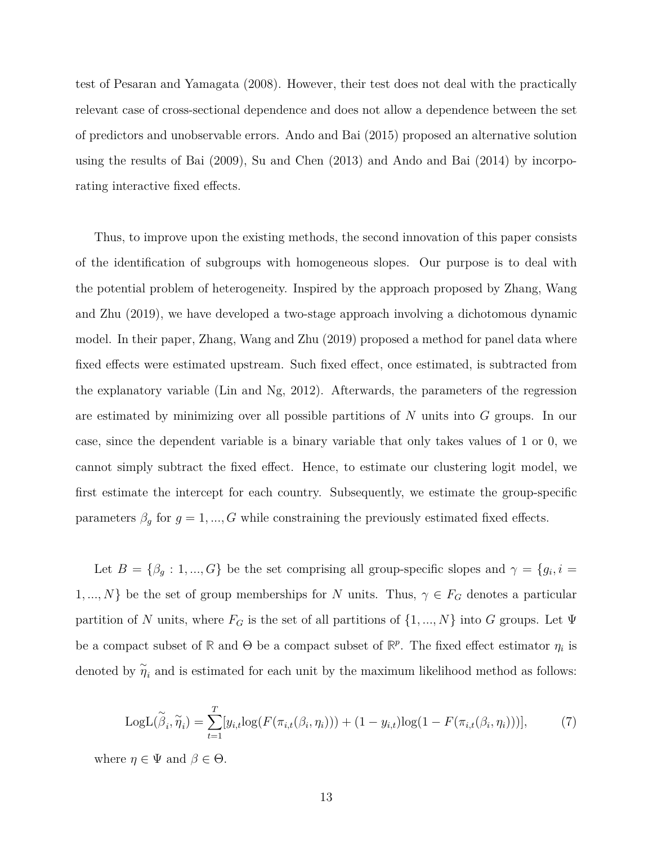test of Pesaran and Yamagata (2008). However, their test does not deal with the practically relevant case of cross-sectional dependence and does not allow a dependence between the set of predictors and unobservable errors. Ando and Bai (2015) proposed an alternative solution using the results of Bai (2009), Su and Chen (2013) and Ando and Bai (2014) by incorporating interactive fixed effects.

Thus, to improve upon the existing methods, the second innovation of this paper consists of the identification of subgroups with homogeneous slopes. Our purpose is to deal with the potential problem of heterogeneity. Inspired by the approach proposed by Zhang, Wang and Zhu (2019), we have developed a two-stage approach involving a dichotomous dynamic model. In their paper, Zhang, Wang and Zhu (2019) proposed a method for panel data where fixed effects were estimated upstream. Such fixed effect, once estimated, is subtracted from the explanatory variable (Lin and Ng, 2012). Afterwards, the parameters of the regression are estimated by minimizing over all possible partitions of *N* units into *G* groups. In our case, since the dependent variable is a binary variable that only takes values of 1 or 0, we cannot simply subtract the fixed effect. Hence, to estimate our clustering logit model, we first estimate the intercept for each country. Subsequently, we estimate the group-specific parameters  $\beta_g$  for  $g = 1, ..., G$  while constraining the previously estimated fixed effects.

Let  $B = \{\beta_g : 1, ..., G\}$  be the set comprising all group-specific slopes and  $\gamma = \{g_i, i =$ 1, ..., *N*} be the set of group memberships for *N* units. Thus,  $\gamma \in F_G$  denotes a particular partition of *N* units, where  $F_G$  is the set of all partitions of  $\{1, ..., N\}$  into *G* groups. Let  $\Psi$ be a compact subset of  $\mathbb{R}$  and  $\Theta$  be a compact subset of  $\mathbb{R}^p$ . The fixed effect estimator  $\eta_i$  is denoted by  $\tilde{\eta}_i$  and is estimated for each unit by the maximum likelihood method as follows:

$$
LogL(\widetilde{\beta}_i, \widetilde{\eta}_i) = \sum_{t=1}^T [y_{i,t}log(F(\pi_{i,t}(\beta_i, \eta_i))) + (1 - y_{i,t})log(1 - F(\pi_{i,t}(\beta_i, \eta_i)))],
$$
(7)

where  $\eta \in \Psi$  and  $\beta \in \Theta$ .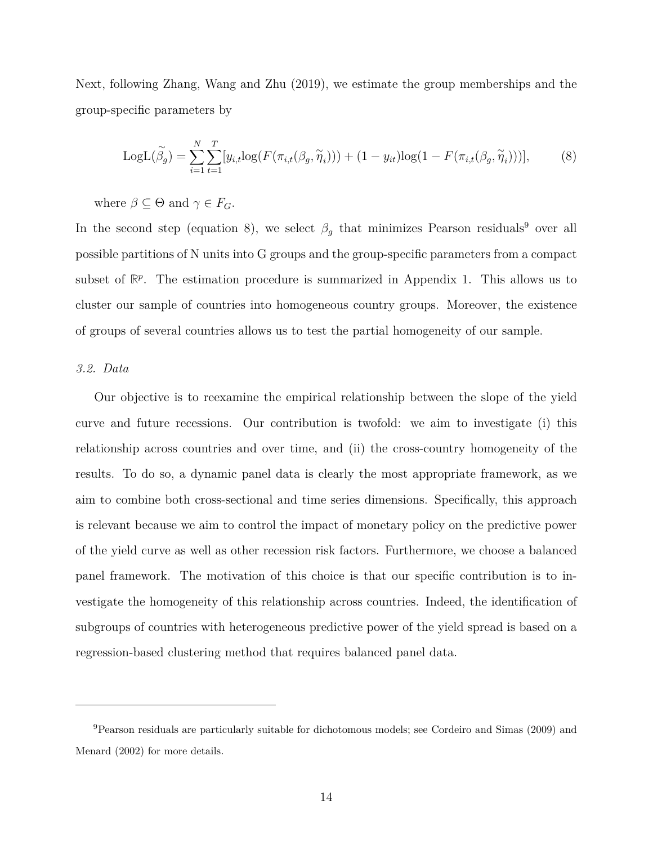Next, following Zhang, Wang and Zhu (2019), we estimate the group memberships and the group-specific parameters by

LogL
$$
(\widetilde{\beta}_g)
$$
 =  $\sum_{i=1}^N \sum_{t=1}^T [y_{i,t}log(F(\pi_{i,t}(\beta_g, \widetilde{\eta}_i)))) + (1 - y_{it})log(1 - F(\pi_{i,t}(\beta_g, \widetilde{\eta}_i)))],$  (8)

where  $\beta \subseteq \Theta$  and  $\gamma \in F_G$ .

In the second step (equation 8), we select  $\beta_g$  that minimizes Pearson residuals<sup>9</sup> over all possible partitions of N units into G groups and the group-specific parameters from a compact subset of  $\mathbb{R}^p$ . The estimation procedure is summarized in Appendix 1. This allows us to cluster our sample of countries into homogeneous country groups. Moreover, the existence of groups of several countries allows us to test the partial homogeneity of our sample.

#### *3.2. Data*

Our objective is to reexamine the empirical relationship between the slope of the yield curve and future recessions. Our contribution is twofold: we aim to investigate (i) this relationship across countries and over time, and (ii) the cross-country homogeneity of the results. To do so, a dynamic panel data is clearly the most appropriate framework, as we aim to combine both cross-sectional and time series dimensions. Specifically, this approach is relevant because we aim to control the impact of monetary policy on the predictive power of the yield curve as well as other recession risk factors. Furthermore, we choose a balanced panel framework. The motivation of this choice is that our specific contribution is to investigate the homogeneity of this relationship across countries. Indeed, the identification of subgroups of countries with heterogeneous predictive power of the yield spread is based on a regression-based clustering method that requires balanced panel data.

<sup>9</sup>Pearson residuals are particularly suitable for dichotomous models; see Cordeiro and Simas (2009) and Menard (2002) for more details.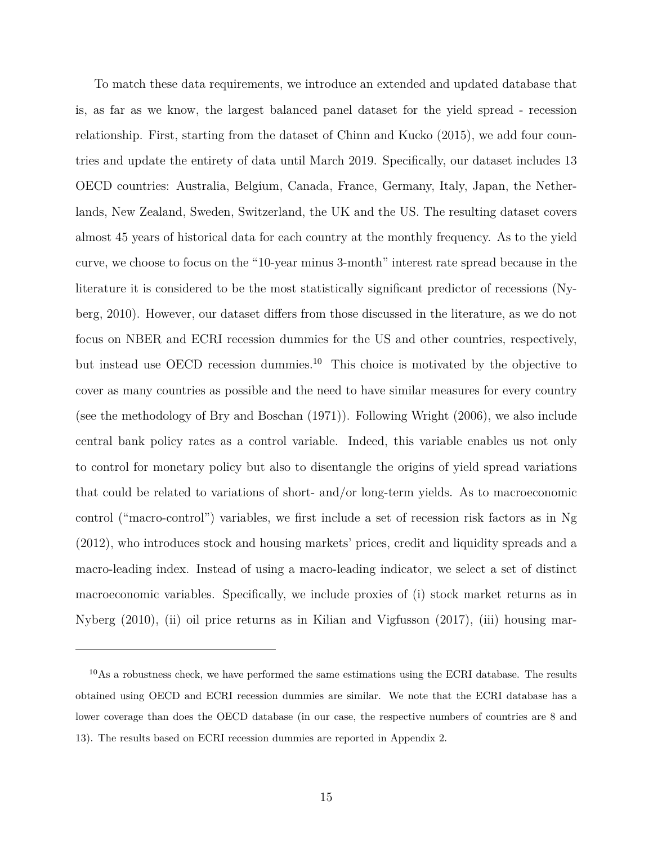To match these data requirements, we introduce an extended and updated database that is, as far as we know, the largest balanced panel dataset for the yield spread - recession relationship. First, starting from the dataset of Chinn and Kucko (2015), we add four countries and update the entirety of data until March 2019. Specifically, our dataset includes 13 OECD countries: Australia, Belgium, Canada, France, Germany, Italy, Japan, the Netherlands, New Zealand, Sweden, Switzerland, the UK and the US. The resulting dataset covers almost 45 years of historical data for each country at the monthly frequency. As to the yield curve, we choose to focus on the "10-year minus 3-month" interest rate spread because in the literature it is considered to be the most statistically significant predictor of recessions (Nyberg, 2010). However, our dataset differs from those discussed in the literature, as we do not focus on NBER and ECRI recession dummies for the US and other countries, respectively, but instead use OECD recession dummies.<sup>10</sup> This choice is motivated by the objective to cover as many countries as possible and the need to have similar measures for every country (see the methodology of Bry and Boschan (1971)). Following Wright (2006), we also include central bank policy rates as a control variable. Indeed, this variable enables us not only to control for monetary policy but also to disentangle the origins of yield spread variations that could be related to variations of short- and/or long-term yields. As to macroeconomic control ("macro-control") variables, we first include a set of recession risk factors as in Ng (2012), who introduces stock and housing markets' prices, credit and liquidity spreads and a macro-leading index. Instead of using a macro-leading indicator, we select a set of distinct macroeconomic variables. Specifically, we include proxies of (i) stock market returns as in Nyberg (2010), (ii) oil price returns as in Kilian and Vigfusson (2017), (iii) housing mar-

 $10As$  a robustness check, we have performed the same estimations using the ECRI database. The results obtained using OECD and ECRI recession dummies are similar. We note that the ECRI database has a lower coverage than does the OECD database (in our case, the respective numbers of countries are 8 and 13). The results based on ECRI recession dummies are reported in Appendix 2.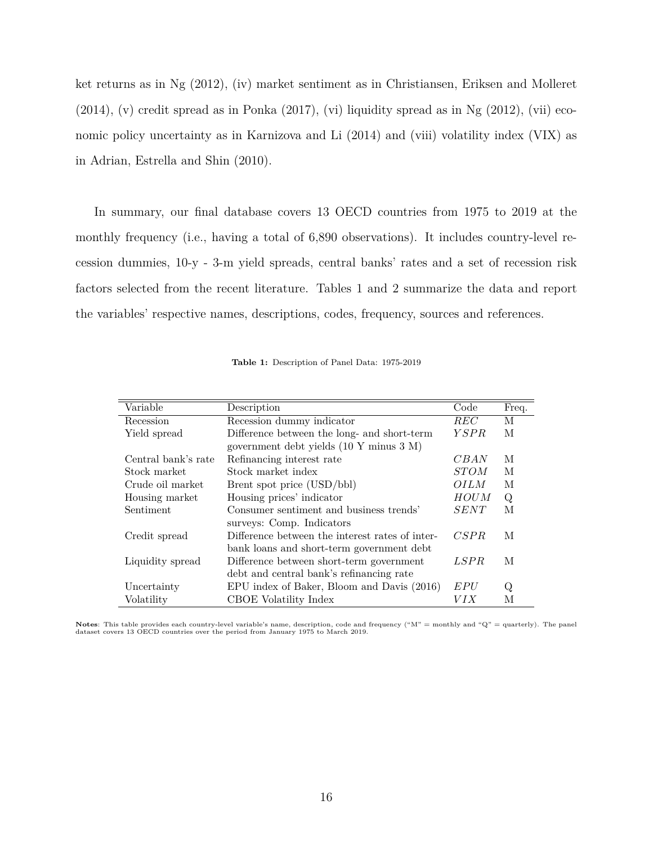ket returns as in Ng (2012), (iv) market sentiment as in Christiansen, Eriksen and Molleret  $(2014)$ , (v) credit spread as in Ponka  $(2017)$ , (vi) liquidity spread as in Ng  $(2012)$ , (vii) economic policy uncertainty as in Karnizova and Li (2014) and (viii) volatility index (VIX) as in Adrian, Estrella and Shin (2010).

In summary, our final database covers 13 OECD countries from 1975 to 2019 at the monthly frequency (i.e., having a total of 6,890 observations). It includes country-level recession dummies, 10-y - 3-m yield spreads, central banks' rates and a set of recession risk factors selected from the recent literature. Tables 1 and 2 summarize the data and report the variables' respective names, descriptions, codes, frequency, sources and references.

| Variable            | Description                                     | Code        | Freq.   |
|---------------------|-------------------------------------------------|-------------|---------|
| Recession           | Recession dummy indicator                       | <b>REC</b>  | M       |
| Yield spread        | Difference between the long- and short-term     | <i>YSPR</i> | M       |
|                     | government debt yields (10 Y minus 3 M)         |             |         |
| Central bank's rate | Refinancing interest rate                       | CBAN        | M       |
| Stock market        | Stock market index                              | <i>STOM</i> | М       |
| Crude oil market    | Brent spot price (USD/bbl)                      | <i>OILM</i> | М       |
| Housing market      | Housing prices' indicator                       | <b>HOUM</b> | $\rm Q$ |
| Sentiment           | Consumer sentiment and business trends'         | SENT        | М       |
|                     | surveys: Comp. Indicators                       |             |         |
| Credit spread       | Difference between the interest rates of inter- | CSPR        | М       |
|                     | bank loans and short-term government debt       |             |         |
| Liquidity spread    | Difference between short-term government        | LSPR        | М       |
|                     | debt and central bank's refinancing rate        |             |         |
| Uncertainty         | EPU index of Baker, Bloom and Davis (2016)      | EPU         | Q       |
| Volatility          | CBOE Volatility Index                           | VIX         | М       |

**Table 1:** Description of Panel Data: 1975-2019

**Notes**: This table provides each country-level variable's name, description, code and frequency (" $M$ " = monthly and " $Q$ " = quarterly). The panel dataset covers 13 OECD countries over the period from January 1975 to March 2019.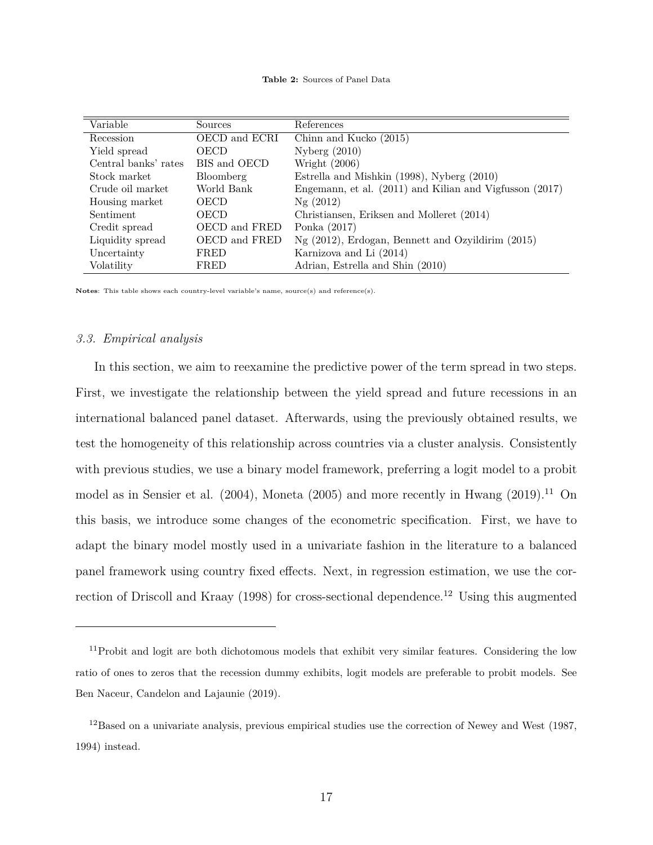| Variable             | Sources       | References                                              |
|----------------------|---------------|---------------------------------------------------------|
| Recession            | OECD and ECRI | Chinn and Kucko (2015)                                  |
| Yield spread         | OECD          | Nyberg $(2010)$                                         |
| Central banks' rates | BIS and OECD  | Wright (2006)                                           |
| Stock market         | Bloomberg     | Estrella and Mishkin (1998), Nyberg (2010)              |
| Crude oil market     | World Bank    | Engemann, et al. (2011) and Kilian and Vigfusson (2017) |
| Housing market       | OECD          | Ng(2012)                                                |
| Sentiment            | OECD          | Christiansen, Eriksen and Molleret (2014)               |
| Credit spread        | OECD and FRED | Ponka $(2017)$                                          |
| Liquidity spread     | OECD and FRED | $Ng$ (2012), Erdogan, Bennett and Ozyildirim (2015)     |
| Uncertainty          | FRED          | Karnizova and Li (2014)                                 |
| Volatility           | FRED          | Adrian, Estrella and Shin (2010)                        |

**Notes**: This table shows each country-level variable's name, source(s) and reference(s).

#### *3.3. Empirical analysis*

In this section, we aim to reexamine the predictive power of the term spread in two steps. First, we investigate the relationship between the yield spread and future recessions in an international balanced panel dataset. Afterwards, using the previously obtained results, we test the homogeneity of this relationship across countries via a cluster analysis. Consistently with previous studies, we use a binary model framework, preferring a logit model to a probit model as in Sensier et al.  $(2004)$ , Moneta  $(2005)$  and more recently in Hwang  $(2019)$ .<sup>11</sup> On this basis, we introduce some changes of the econometric specification. First, we have to adapt the binary model mostly used in a univariate fashion in the literature to a balanced panel framework using country fixed effects. Next, in regression estimation, we use the correction of Driscoll and Kraay (1998) for cross-sectional dependence.<sup>12</sup> Using this augmented

<sup>&</sup>lt;sup>11</sup>Probit and logit are both dichotomous models that exhibit very similar features. Considering the low ratio of ones to zeros that the recession dummy exhibits, logit models are preferable to probit models. See Ben Naceur, Candelon and Lajaunie (2019).

 $12$ Based on a univariate analysis, previous empirical studies use the correction of Newey and West (1987, 1994) instead.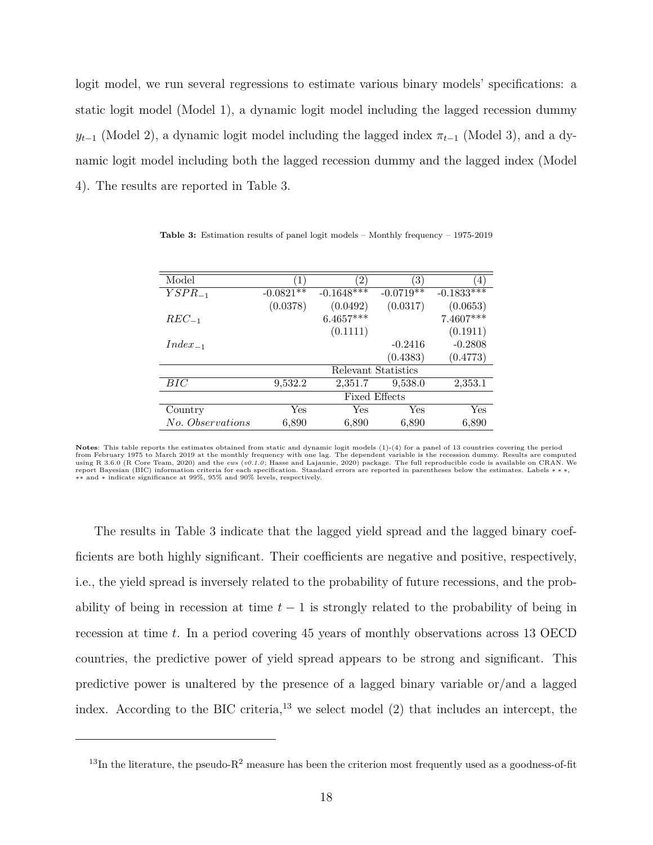logit model, we run several regressions to estimate various binary models' specifications: a static logit model (Model 1), a dynamic logit model including the lagged recession dummy  $y_{t-1}$  (Model 2), a dynamic logit model including the lagged index  $\pi_{t-1}$  (Model 3), and a dynamic logit model including both the lagged recession dummy and the lagged index (Model 4). The results are reported in Table 3.

| Model            |                      | $^{\prime}2$ , | 3)                  | 4)           |  |
|------------------|----------------------|----------------|---------------------|--------------|--|
| $YSPR_{-1}$      | $-0.0821**$          | $-0.1648***$   | $-0.0719**$         | $-0.1833***$ |  |
|                  | (0.0378)             | (0.0492)       | (0.0317)            | (0.0653)     |  |
| $REC_{-1}$       |                      | $6.4657***$    |                     | 7.4607***    |  |
|                  |                      | (0.1111)       |                     | (0.1911)     |  |
| $Index_{-1}$     |                      |                | $-0.2416$           | $-0.2808$    |  |
|                  |                      |                | (0.4383)            | (0.4773)     |  |
|                  |                      |                | Relevant Statistics |              |  |
| $_{BIC}$         | 9,532.2              | 2,351.7        | 9,538.0             | 2,353.1      |  |
|                  | <b>Fixed Effects</b> |                |                     |              |  |
| Country          | Yes                  | Yes            | Yes                 | Yes          |  |
| No. Observations | 6,890                | 6,890          | 6,890               | 6,890        |  |

**Table 3:** Estimation results of panel logit models – Monthly frequency – 1975-2019

The results in Table 3 indicate that the lagged yield spread and the lagged binary coefficients are both highly significant. Their coefficients are negative and positive, respectively, i.e., the yield spread is inversely related to the probability of future recessions, and the probability of being in recession at time  $t-1$  is strongly related to the probability of being in recession at time *t*. In a period covering 45 years of monthly observations across 13 OECD countries, the predictive power of yield spread appears to be strong and significant. This predictive power is unaltered by the presence of a lagged binary variable or/and a lagged index. According to the BIC criteria,<sup>13</sup> we select model  $(2)$  that includes an intercept, the

**Notes**: This table reports the estimates obtained from static and dynamic logit models (1)-(4) for a panel of 13 countries covering the period from February 1975 to March 2019 at the monthly frequency with one lag. The dependent variable is the recession dummy. Results are computed<br>using R 3.6.0 (R Core Team, 2020) and the *ews (v0.1.0;* Hasse and Lajaunie, 2020) ∗∗ and ∗ indicate significance at 99%, 95% and 90% levels, respectively.

 $13$ In the literature, the pseudo-R<sup>2</sup> measure has been the criterion most frequently used as a goodness-of-fit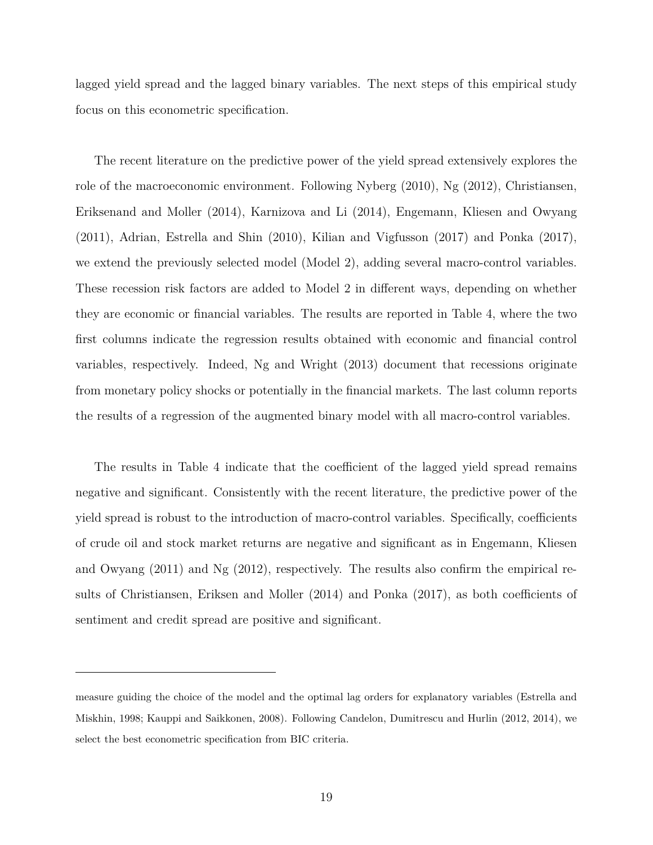lagged yield spread and the lagged binary variables. The next steps of this empirical study focus on this econometric specification.

The recent literature on the predictive power of the yield spread extensively explores the role of the macroeconomic environment. Following Nyberg (2010), Ng (2012), Christiansen, Eriksenand and Moller (2014), Karnizova and Li (2014), Engemann, Kliesen and Owyang (2011), Adrian, Estrella and Shin (2010), Kilian and Vigfusson (2017) and Ponka (2017), we extend the previously selected model (Model 2), adding several macro-control variables. These recession risk factors are added to Model 2 in different ways, depending on whether they are economic or financial variables. The results are reported in Table 4, where the two first columns indicate the regression results obtained with economic and financial control variables, respectively. Indeed, Ng and Wright (2013) document that recessions originate from monetary policy shocks or potentially in the financial markets. The last column reports the results of a regression of the augmented binary model with all macro-control variables.

The results in Table 4 indicate that the coefficient of the lagged yield spread remains negative and significant. Consistently with the recent literature, the predictive power of the yield spread is robust to the introduction of macro-control variables. Specifically, coefficients of crude oil and stock market returns are negative and significant as in Engemann, Kliesen and Owyang (2011) and Ng (2012), respectively. The results also confirm the empirical results of Christiansen, Eriksen and Moller (2014) and Ponka (2017), as both coefficients of sentiment and credit spread are positive and significant.

measure guiding the choice of the model and the optimal lag orders for explanatory variables (Estrella and Miskhin, 1998; Kauppi and Saikkonen, 2008). Following Candelon, Dumitrescu and Hurlin (2012, 2014), we select the best econometric specification from BIC criteria.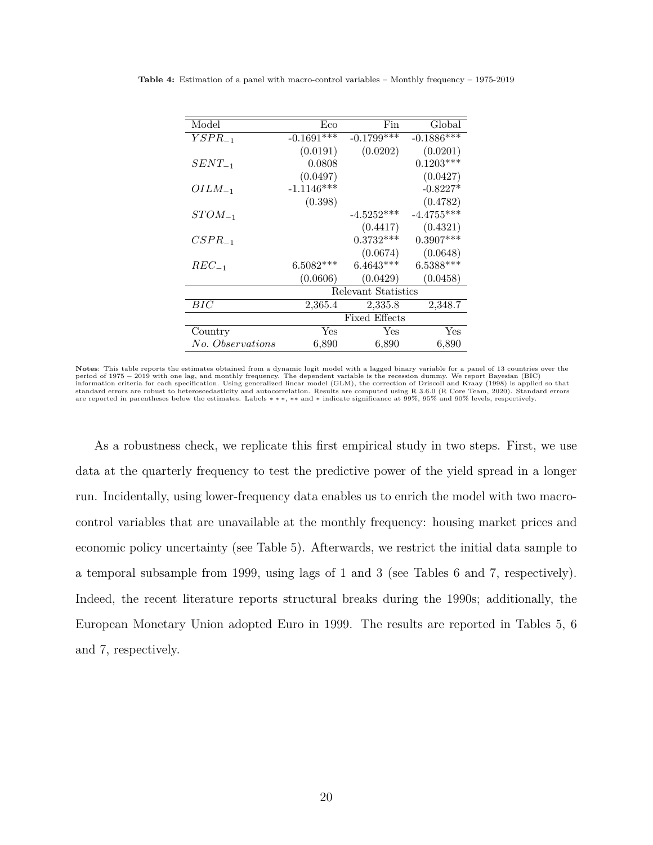| Model<br>Fin<br>Eco<br>$-0.1691***$<br>$-0.1799***$<br>$YSPR_{-1}$<br>(0.0191)<br>(0.0202)<br>0.0808<br>$SENT_{-1}$<br>(0.0497)<br>$-1.1146***$<br>$OILM_{-1}$<br>(0.398)<br>$-4.5252***$<br>$STOM_{-1}$<br>(0.4417)<br>$0.3732***$<br>$CSPR_{-1}$<br>(0.0674)<br>$6.5082***$<br>$6.4643***$<br>$REC_{-1}$<br>(0.0429)<br>(0.0606)<br>Relevant Statistics<br>BIC<br>2,365.4<br>2,335.8<br><b>Fixed Effects</b> |     |              |
|----------------------------------------------------------------------------------------------------------------------------------------------------------------------------------------------------------------------------------------------------------------------------------------------------------------------------------------------------------------------------------------------------------------|-----|--------------|
|                                                                                                                                                                                                                                                                                                                                                                                                                |     | Global       |
|                                                                                                                                                                                                                                                                                                                                                                                                                |     | $-0.1886***$ |
|                                                                                                                                                                                                                                                                                                                                                                                                                |     | (0.0201)     |
|                                                                                                                                                                                                                                                                                                                                                                                                                |     | $0.1203***$  |
|                                                                                                                                                                                                                                                                                                                                                                                                                |     | (0.0427)     |
|                                                                                                                                                                                                                                                                                                                                                                                                                |     | $-0.8227*$   |
|                                                                                                                                                                                                                                                                                                                                                                                                                |     | (0.4782)     |
|                                                                                                                                                                                                                                                                                                                                                                                                                |     | $-4.4755***$ |
|                                                                                                                                                                                                                                                                                                                                                                                                                |     | (0.4321)     |
|                                                                                                                                                                                                                                                                                                                                                                                                                |     | $0.3907***$  |
|                                                                                                                                                                                                                                                                                                                                                                                                                |     | (0.0648)     |
|                                                                                                                                                                                                                                                                                                                                                                                                                |     | $6.5388***$  |
|                                                                                                                                                                                                                                                                                                                                                                                                                |     | (0.0458)     |
|                                                                                                                                                                                                                                                                                                                                                                                                                |     |              |
|                                                                                                                                                                                                                                                                                                                                                                                                                |     | 2,348.7      |
|                                                                                                                                                                                                                                                                                                                                                                                                                |     |              |
| Yes<br>Country                                                                                                                                                                                                                                                                                                                                                                                                 | Yes | Yes          |
| No. Observations<br>6,890<br>6,890                                                                                                                                                                                                                                                                                                                                                                             |     | 6,890        |

**Table 4:** Estimation of a panel with macro-control variables – Monthly frequency – 1975-2019

As a robustness check, we replicate this first empirical study in two steps. First, we use data at the quarterly frequency to test the predictive power of the yield spread in a longer run. Incidentally, using lower-frequency data enables us to enrich the model with two macrocontrol variables that are unavailable at the monthly frequency: housing market prices and economic policy uncertainty (see Table 5). Afterwards, we restrict the initial data sample to a temporal subsample from 1999, using lags of 1 and 3 (see Tables 6 and 7, respectively). Indeed, the recent literature reports structural breaks during the 1990s; additionally, the European Monetary Union adopted Euro in 1999. The results are reported in Tables 5, 6 and 7, respectively.

**Notes**: This table reports the estimates obtained from a dynamic logit model with a lagged binary variable for a panel of 13 countries over the period of 1975 – 2019 with one lag, and monthly frequency. The dependent variable is the recession dummy. We report Bayesian (BIC)<br>information criteria for each specification. Using generalized linear model (GLM), the corr standard errors are robust to heteroscedasticity and autocorrelation. Results are computed using R 3.6.0 (R Core Team, 2020). Standard errors are reported in parentheses below the estimates. Labels \*\*\*, \*\* and \* indicate significance at 99%, 95% and 90% levels, respectively.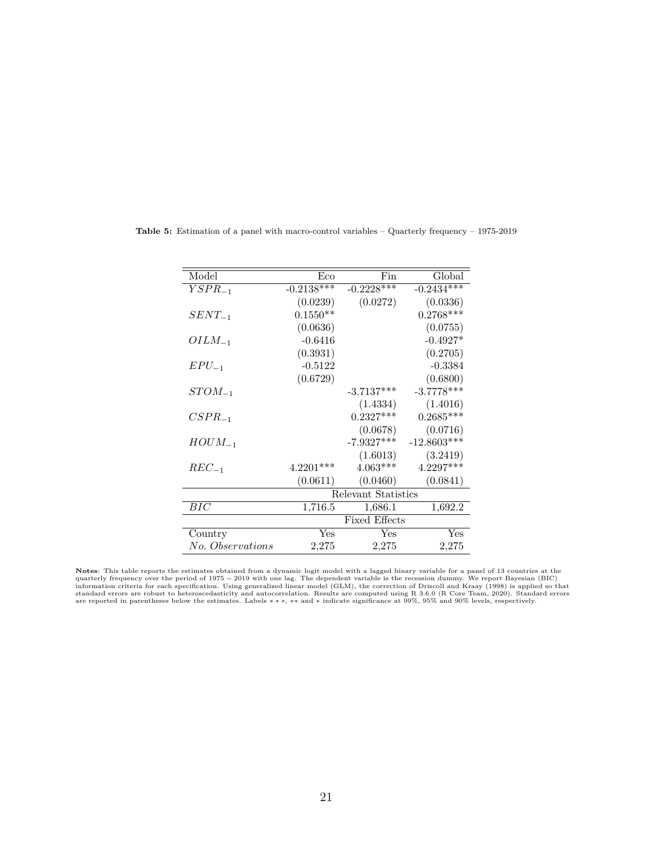| Model            | Eco                     | Fin          | Global                  |  |  |
|------------------|-------------------------|--------------|-------------------------|--|--|
| $YSPR_{-1}$      | $-0.21\overline{38***}$ | $-0.2228***$ | $-0.24\overline{34***}$ |  |  |
|                  | (0.0239)                | (0.0272)     | (0.0336)                |  |  |
| $SENT_{-1}$      | $0.1550**$              |              | $0.2768***$             |  |  |
|                  | (0.0636)                |              | (0.0755)                |  |  |
| $OILM_{-1}$      | $-0.6416$               |              | $-0.4927*$              |  |  |
|                  | (0.3931)                |              | (0.2705)                |  |  |
| $EPU_{-1}$       | $-0.5122$               |              | $-0.3384$               |  |  |
|                  | (0.6729)                |              | (0.6800)                |  |  |
| $STOM_{-1}$      |                         | $-3.7137***$ | $-3.7778***$            |  |  |
|                  |                         | (1.4334)     | (1.4016)                |  |  |
| $CSPR_{-1}$      |                         | $0.2327***$  | $0.2685***$             |  |  |
|                  |                         | (0.0678)     | (0.0716)                |  |  |
| $HOUN_{-1}$      |                         | $-7.9327***$ | $-12.8603***$           |  |  |
|                  |                         | (1.6013)     | (3.2419)                |  |  |
| $REC_{-1}$       | 4.2201***               | $4.063***$   | $4.2297***$             |  |  |
|                  | (0.0611)                | (0.0460)     | (0.0841)                |  |  |
|                  | Relevant Statistics     |              |                         |  |  |
| $_{BIC}$         | 1,716.5                 | 1,686.1      | 1,692.2                 |  |  |
|                  | <b>Fixed Effects</b>    |              |                         |  |  |
| Country          | Yes                     | Yes          | Yes                     |  |  |
| No. Observations | 2,275                   | 2,275        | 2,275                   |  |  |

**Table 5:** Estimation of a panel with macro-control variables – Quarterly frequency – 1975-2019

**Notes:** This table reports the estimates obtained from a dynamic logit model with a lagged binary variable for a panel of 13 countries at the quarterly frequency over the period of 1975 – 2019 with one lag. The dependent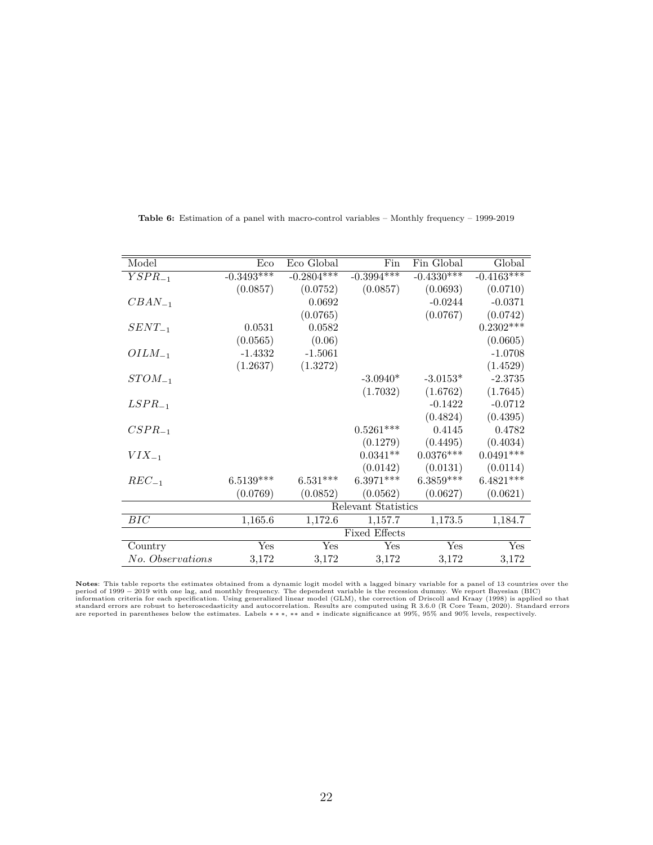| Model            | Eco          | Eco Global   | Fin                  | Fin Global   | Global                  |
|------------------|--------------|--------------|----------------------|--------------|-------------------------|
| $YSPR_{-1}$      | $-0.3493***$ | $-0.2804***$ | $-0.3994***$         | $-0.4330***$ | $-0.4\overline{163***}$ |
|                  | (0.0857)     | (0.0752)     | (0.0857)             | (0.0693)     | (0.0710)                |
| $CBAN_{-1}$      |              | 0.0692       |                      | $-0.0244$    | $-0.0371$               |
|                  |              | (0.0765)     |                      | (0.0767)     | (0.0742)                |
| $SENT_{-1}$      | 0.0531       | 0.0582       |                      |              | $0.2302***$             |
|                  | (0.0565)     | (0.06)       |                      |              | (0.0605)                |
| $OILM_{-1}$      | $-1.4332$    | $-1.5061$    |                      |              | $-1.0708$               |
|                  | (1.2637)     | (1.3272)     |                      |              | (1.4529)                |
| $STOM_{-1}$      |              |              | $-3.0940*$           | $-3.0153*$   | $-2.3735$               |
|                  |              |              | (1.7032)             | (1.6762)     | (1.7645)                |
| $LSPR_{-1}$      |              |              |                      | $-0.1422$    | $-0.0712$               |
|                  |              |              |                      | (0.4824)     | (0.4395)                |
| $CSPR_{-1}$      |              |              | $0.5261***$          | 0.4145       | 0.4782                  |
|                  |              |              | (0.1279)             | (0.4495)     | (0.4034)                |
| $VIX_{-1}$       |              |              | $0.0341**$           | $0.0376***$  | $0.0491***$             |
|                  |              |              | (0.0142)             | (0.0131)     | (0.0114)                |
| $REC_{-1}$       | $6.5139***$  | $6.531***$   | $6.3971***$          | $6.3859***$  | $6.4821***$             |
|                  | (0.0769)     | (0.0852)     | (0.0562)             | (0.0627)     | (0.0621)                |
|                  |              |              | Relevant Statistics  |              |                         |
| BIC              | 1,165.6      | 1,172.6      | 1,157.7              | 1,173.5      | 1,184.7                 |
|                  |              |              | <b>Fixed Effects</b> |              |                         |
| Country          | Yes          | Yes          | Yes                  | Yes          | Yes                     |
| No. Observations | 3,172        | 3,172        | 3,172                | 3,172        | 3,172                   |
|                  |              |              |                      |              |                         |

**Table 6:** Estimation of a panel with macro-control variables – Monthly frequency – 1999-2019

Notes: This table reports the estimates obtained from a dynamic logit model with a lagged binary variable for a panel of 13 countries over the<br>period of 1999 – 2019 with one lag, and monthly frequency. The dependent variab are reported in parentheses below the estimates. Labels ∗ ∗ ∗, ∗∗ and ∗ indicate significance at 99%, 95% and 90% levels, respectively.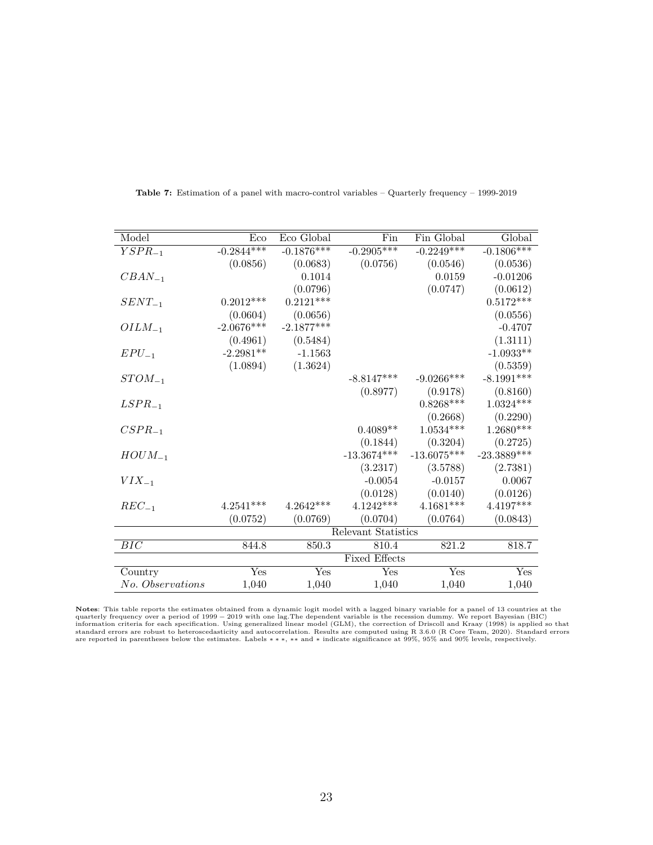| Model            | Eco          | Eco Global   | Fin                  | Fin Global         | Global                    |
|------------------|--------------|--------------|----------------------|--------------------|---------------------------|
| $YSPR_{-1}$      | $-0.2844***$ | $-0.1876***$ | $-0.2905***$         | $-0.2249***$       | $-0.1806***$              |
|                  | (0.0856)     | (0.0683)     | (0.0756)             | (0.0546)           | (0.0536)                  |
| $CBAN_{-1}$      |              | 0.1014       |                      | 0.0159             | $-0.01206$                |
|                  |              | (0.0796)     |                      | (0.0747)           | (0.0612)                  |
| $SENT_{-1}$      | $0.2012***$  | $0.2121***$  |                      |                    | $0.5172***$               |
|                  | (0.0604)     | (0.0656)     |                      |                    | (0.0556)                  |
| $OILM_{-1}$      | $-2.0676***$ | $-2.1877***$ |                      |                    | $-0.4707$                 |
|                  | (0.4961)     | (0.5484)     |                      |                    | (1.3111)                  |
| $EPU_{-1}$       | $-2.2981**$  | $-1.1563$    |                      |                    | $-1.0933**$               |
|                  | (1.0894)     | (1.3624)     |                      |                    | (0.5359)                  |
| $STOM_{-1}$      |              |              | $-8.8147***$         | $-9.0266***$       | $-8.1991***$              |
|                  |              |              | (0.8977)             | (0.9178)           | (0.8160)                  |
| $LSPR_{-1}$      |              |              |                      | $0.8268***$        | $1.0324***$               |
|                  |              |              |                      | (0.2668)           | (0.2290)                  |
| $CSPR_{-1}$      |              |              | $0.4089**$           | $1.0534***$        | $1.2680***$               |
|                  |              |              | (0.1844)             | (0.3204)           | (0.2725)                  |
| $HOUN_{-1}$      |              |              | $-13.3674***$        | $-13.6075^{***}\,$ | $-23.3889***$             |
|                  |              |              | (3.2317)             | (3.5788)           | (2.7381)                  |
| $VIX_{-1}$       |              |              | $-0.0054$            | $-0.0157$          | 0.0067                    |
|                  |              |              | (0.0128)             | (0.0140)           | (0.0126)                  |
| $REC_{-1}$       | $4.2541***$  | $4.2642***$  | $4.1242***$          | $4.1681***$        | $4.4197***$               |
|                  | (0.0752)     | (0.0769)     | (0.0704)             | (0.0764)           | (0.0843)                  |
|                  |              |              | Relevant Statistics  |                    |                           |
| BIC              | 844.8        | 850.3        | 810.4                | 821.2              | 818.7                     |
|                  |              |              | <b>Fixed Effects</b> |                    |                           |
| Country          | Yes          | Yes          | Yes                  | Yes                | $\overline{\mathrm{Yes}}$ |
| No. Observations | 1,040        | 1,040        | 1,040                | 1,040              | 1,040                     |

**Table 7:** Estimation of a panel with macro-control variables – Quarterly frequency – 1999-2019

**Notes:** This table reports the estimates obtained from a dynamic logit model with a lagged binary variable for a panel of 13 countries at the quarterly frequency over a period of 1999 – 2019 with one lag. The dependent v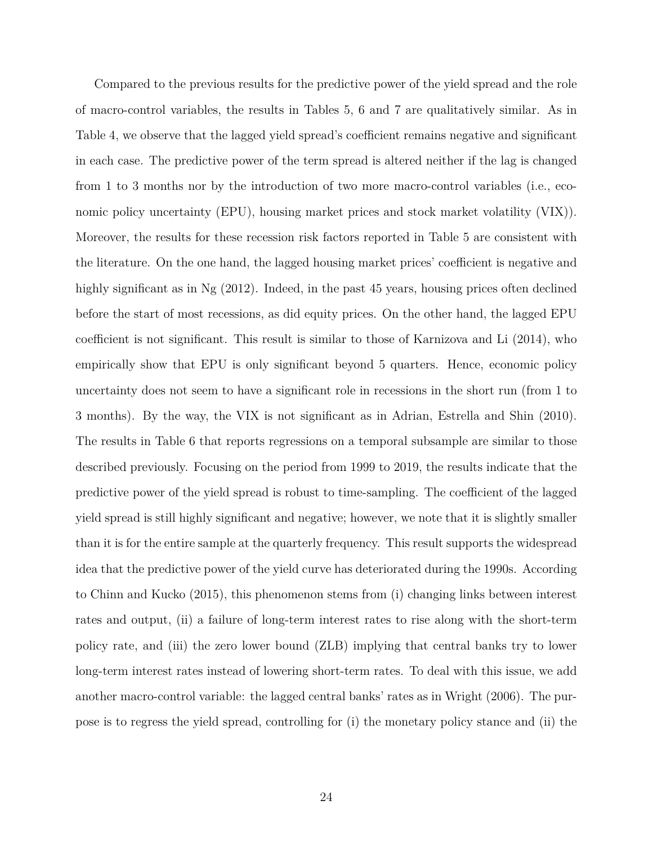Compared to the previous results for the predictive power of the yield spread and the role of macro-control variables, the results in Tables 5, 6 and 7 are qualitatively similar. As in Table 4, we observe that the lagged yield spread's coefficient remains negative and significant in each case. The predictive power of the term spread is altered neither if the lag is changed from 1 to 3 months nor by the introduction of two more macro-control variables (i.e., economic policy uncertainty (EPU), housing market prices and stock market volatility (VIX)). Moreover, the results for these recession risk factors reported in Table 5 are consistent with the literature. On the one hand, the lagged housing market prices' coefficient is negative and highly significant as in Ng (2012). Indeed, in the past 45 years, housing prices often declined before the start of most recessions, as did equity prices. On the other hand, the lagged EPU coefficient is not significant. This result is similar to those of Karnizova and Li (2014), who empirically show that EPU is only significant beyond 5 quarters. Hence, economic policy uncertainty does not seem to have a significant role in recessions in the short run (from 1 to 3 months). By the way, the VIX is not significant as in Adrian, Estrella and Shin (2010). The results in Table 6 that reports regressions on a temporal subsample are similar to those described previously. Focusing on the period from 1999 to 2019, the results indicate that the predictive power of the yield spread is robust to time-sampling. The coefficient of the lagged yield spread is still highly significant and negative; however, we note that it is slightly smaller than it is for the entire sample at the quarterly frequency. This result supports the widespread idea that the predictive power of the yield curve has deteriorated during the 1990s. According to Chinn and Kucko (2015), this phenomenon stems from (i) changing links between interest rates and output, (ii) a failure of long-term interest rates to rise along with the short-term policy rate, and (iii) the zero lower bound (ZLB) implying that central banks try to lower long-term interest rates instead of lowering short-term rates. To deal with this issue, we add another macro-control variable: the lagged central banks' rates as in Wright (2006). The purpose is to regress the yield spread, controlling for (i) the monetary policy stance and (ii) the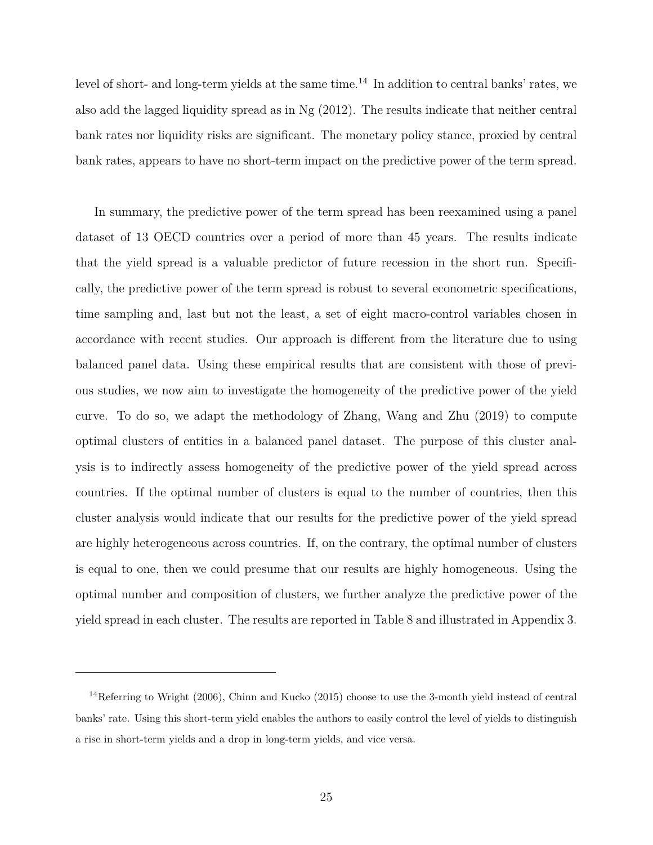level of short- and long-term yields at the same time.<sup>14</sup> In addition to central banks' rates, we also add the lagged liquidity spread as in Ng (2012). The results indicate that neither central bank rates nor liquidity risks are significant. The monetary policy stance, proxied by central bank rates, appears to have no short-term impact on the predictive power of the term spread.

In summary, the predictive power of the term spread has been reexamined using a panel dataset of 13 OECD countries over a period of more than 45 years. The results indicate that the yield spread is a valuable predictor of future recession in the short run. Specifically, the predictive power of the term spread is robust to several econometric specifications, time sampling and, last but not the least, a set of eight macro-control variables chosen in accordance with recent studies. Our approach is different from the literature due to using balanced panel data. Using these empirical results that are consistent with those of previous studies, we now aim to investigate the homogeneity of the predictive power of the yield curve. To do so, we adapt the methodology of Zhang, Wang and Zhu (2019) to compute optimal clusters of entities in a balanced panel dataset. The purpose of this cluster analysis is to indirectly assess homogeneity of the predictive power of the yield spread across countries. If the optimal number of clusters is equal to the number of countries, then this cluster analysis would indicate that our results for the predictive power of the yield spread are highly heterogeneous across countries. If, on the contrary, the optimal number of clusters is equal to one, then we could presume that our results are highly homogeneous. Using the optimal number and composition of clusters, we further analyze the predictive power of the yield spread in each cluster. The results are reported in Table 8 and illustrated in Appendix 3.

<sup>14</sup>Referring to Wright (2006), Chinn and Kucko (2015) choose to use the 3-month yield instead of central banks' rate. Using this short-term yield enables the authors to easily control the level of yields to distinguish a rise in short-term yields and a drop in long-term yields, and vice versa.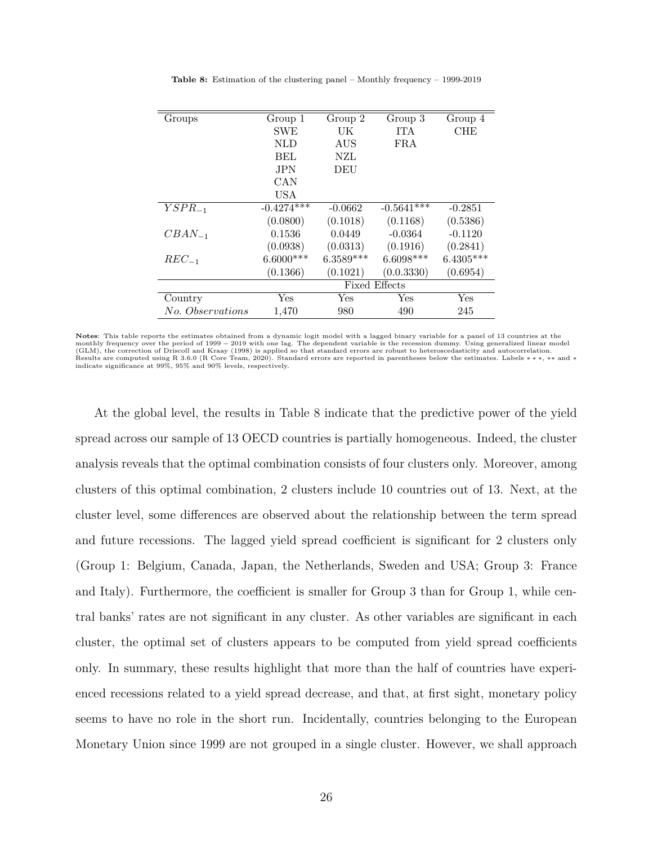| Groups           | Group 1              | Group 2     | Group 3      | Group 4     |  |
|------------------|----------------------|-------------|--------------|-------------|--|
|                  | <b>SWE</b>           | UK          | <b>ITA</b>   | <b>CHE</b>  |  |
|                  | <b>NLD</b>           | AUS         | $_{\rm FRA}$ |             |  |
|                  | <b>BEL</b>           | NZL         |              |             |  |
|                  | <b>JPN</b>           | DEU         |              |             |  |
|                  | CAN                  |             |              |             |  |
|                  | <b>USA</b>           |             |              |             |  |
| $YSPR_{-1}$      | $-0.4274***$         | $-0.0662$   | $-0.5641***$ | $-0.2851$   |  |
|                  | (0.0800)             | (0.1018)    | (0.1168)     | (0.5386)    |  |
| $CBAN_{-1}$      | 0.1536               | 0.0449      | $-0.0364$    | $-0.1120$   |  |
|                  | (0.0938)             | (0.0313)    | (0.1916)     | (0.2841)    |  |
| $REC_{-1}$       | $6.6000***$          | $6.3589***$ | $6.6098***$  | $6.4305***$ |  |
|                  | (0.1366)             | (0.1021)    | (0.0.3330)   | (0.6954)    |  |
|                  | <b>Fixed Effects</b> |             |              |             |  |
| Country          | Yes                  | Yes         | Yes          | Yes         |  |
| No. Observations | 1,470                | 980         | 490          | 245         |  |

**Table 8:** Estimation of the clustering panel – Monthly frequency – 1999-2019

Notes: This table reports the estimates obtained from a dynamic logit model with a lagged binary variable for a panel of 13 countries at the<br>monthly frequency over the period of 1999 – 2019 with one lag. The dependent vari (GLM), the correction of Driscoll and Kraay (1998) is applied so that standard errors are robust to heteroscedasticity and autocorrelation. Results are computed using R 3.6.0 (R Core Team, 2020). Standard errors are reported in parentheses below the estimates. Labels ∗∗∗, ∗∗ and ∗<br>indicate significance at 99%, 95% and 90% levels, respectively.

At the global level, the results in Table 8 indicate that the predictive power of the yield spread across our sample of 13 OECD countries is partially homogeneous. Indeed, the cluster analysis reveals that the optimal combination consists of four clusters only. Moreover, among clusters of this optimal combination, 2 clusters include 10 countries out of 13. Next, at the cluster level, some differences are observed about the relationship between the term spread and future recessions. The lagged yield spread coefficient is significant for 2 clusters only (Group 1: Belgium, Canada, Japan, the Netherlands, Sweden and USA; Group 3: France and Italy). Furthermore, the coefficient is smaller for Group 3 than for Group 1, while central banks' rates are not significant in any cluster. As other variables are significant in each cluster, the optimal set of clusters appears to be computed from yield spread coefficients only. In summary, these results highlight that more than the half of countries have experienced recessions related to a yield spread decrease, and that, at first sight, monetary policy seems to have no role in the short run. Incidentally, countries belonging to the European Monetary Union since 1999 are not grouped in a single cluster. However, we shall approach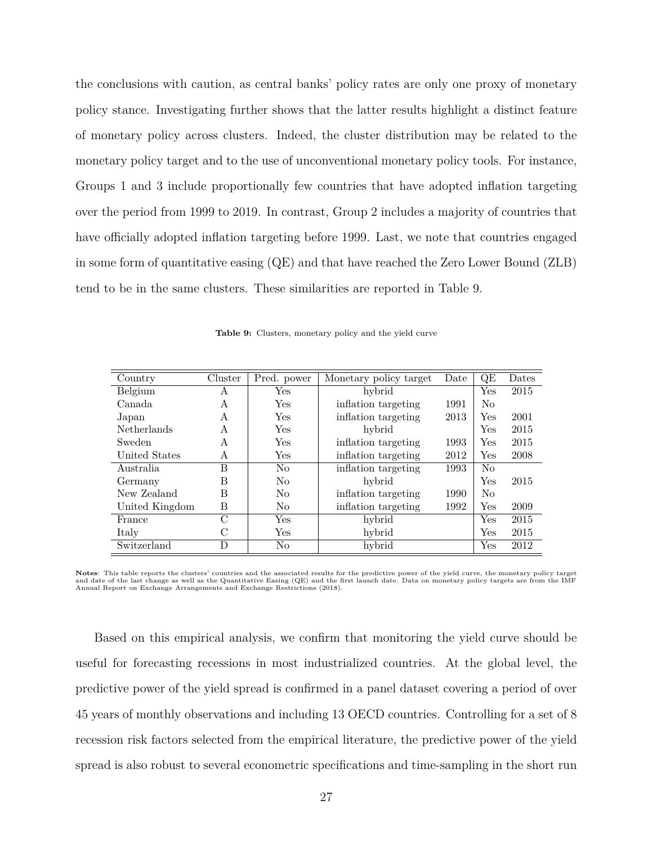the conclusions with caution, as central banks' policy rates are only one proxy of monetary policy stance. Investigating further shows that the latter results highlight a distinct feature of monetary policy across clusters. Indeed, the cluster distribution may be related to the monetary policy target and to the use of unconventional monetary policy tools. For instance, Groups 1 and 3 include proportionally few countries that have adopted inflation targeting over the period from 1999 to 2019. In contrast, Group 2 includes a majority of countries that have officially adopted inflation targeting before 1999. Last, we note that countries engaged in some form of quantitative easing (QE) and that have reached the Zero Lower Bound (ZLB) tend to be in the same clusters. These similarities are reported in Table 9.

| Country        | Cluster       | Pred. power | Monetary policy target      | Date | QE             | Dates |
|----------------|---------------|-------------|-----------------------------|------|----------------|-------|
| Belgium        | A             | Yes.        | hybrid                      |      | Yes            | 2015  |
| Canada         | A             | Yes         | inflation targeting         | 1991 | N <sub>0</sub> |       |
| Japan          | A             | Yes         | inflation targeting         | 2013 | Yes            | 2001  |
| Netherlands    | A             | Yes         | hybrid                      |      | Yes            | 2015  |
| Sweden         | A             | Yes         | inflation targeting         | 1993 | Yes            | 2015  |
| United States  | A             | Yes         | inflation targeting         | 2012 | $_{\rm Yes}$   | 2008  |
| Australia      | B             | No          | inflation targeting         | 1993 | N <sub>0</sub> |       |
| Germany        | В             | No          | hybrid                      |      | Yes            | 2015  |
| New Zealand    | В             | No          | inflation targeting<br>1990 |      | N <sub>0</sub> |       |
| United Kingdom | B             | No          | inflation targeting         | 1992 | Yes            | 2009  |
| France         | $\mathcal{C}$ | <b>Yes</b>  | hybrid                      |      | Yes            | 2015  |
| Italy          | C             | Yes         | hybrid                      |      | Yes            | 2015  |
| Switzerland    | D             | No          | hybrid                      |      | Yes            | 2012  |

**Table 9:** Clusters, monetary policy and the yield curve

**Notes**: This table reports the clusters' countries and the associated results for the predictive power of the yield curve, the monetary policy target and date of the last change as well as the Quantitative Easing (QE) and the first launch date. Data on monetary policy targets are from the IMF Annual Report on Exchange Arrangements and Exchange Restrictions (2018).

Based on this empirical analysis, we confirm that monitoring the yield curve should be useful for forecasting recessions in most industrialized countries. At the global level, the predictive power of the yield spread is confirmed in a panel dataset covering a period of over 45 years of monthly observations and including 13 OECD countries. Controlling for a set of 8 recession risk factors selected from the empirical literature, the predictive power of the yield spread is also robust to several econometric specifications and time-sampling in the short run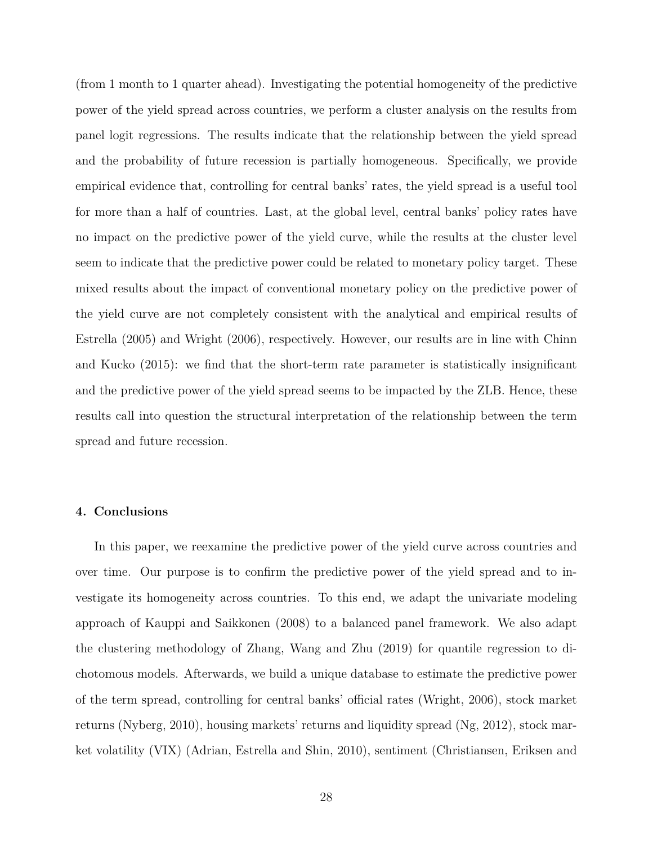(from 1 month to 1 quarter ahead). Investigating the potential homogeneity of the predictive power of the yield spread across countries, we perform a cluster analysis on the results from panel logit regressions. The results indicate that the relationship between the yield spread and the probability of future recession is partially homogeneous. Specifically, we provide empirical evidence that, controlling for central banks' rates, the yield spread is a useful tool for more than a half of countries. Last, at the global level, central banks' policy rates have no impact on the predictive power of the yield curve, while the results at the cluster level seem to indicate that the predictive power could be related to monetary policy target. These mixed results about the impact of conventional monetary policy on the predictive power of the yield curve are not completely consistent with the analytical and empirical results of Estrella (2005) and Wright (2006), respectively. However, our results are in line with Chinn and Kucko (2015): we find that the short-term rate parameter is statistically insignificant and the predictive power of the yield spread seems to be impacted by the ZLB. Hence, these results call into question the structural interpretation of the relationship between the term spread and future recession.

#### **4. Conclusions**

In this paper, we reexamine the predictive power of the yield curve across countries and over time. Our purpose is to confirm the predictive power of the yield spread and to investigate its homogeneity across countries. To this end, we adapt the univariate modeling approach of Kauppi and Saikkonen (2008) to a balanced panel framework. We also adapt the clustering methodology of Zhang, Wang and Zhu (2019) for quantile regression to dichotomous models. Afterwards, we build a unique database to estimate the predictive power of the term spread, controlling for central banks' official rates (Wright, 2006), stock market returns (Nyberg, 2010), housing markets' returns and liquidity spread (Ng, 2012), stock market volatility (VIX) (Adrian, Estrella and Shin, 2010), sentiment (Christiansen, Eriksen and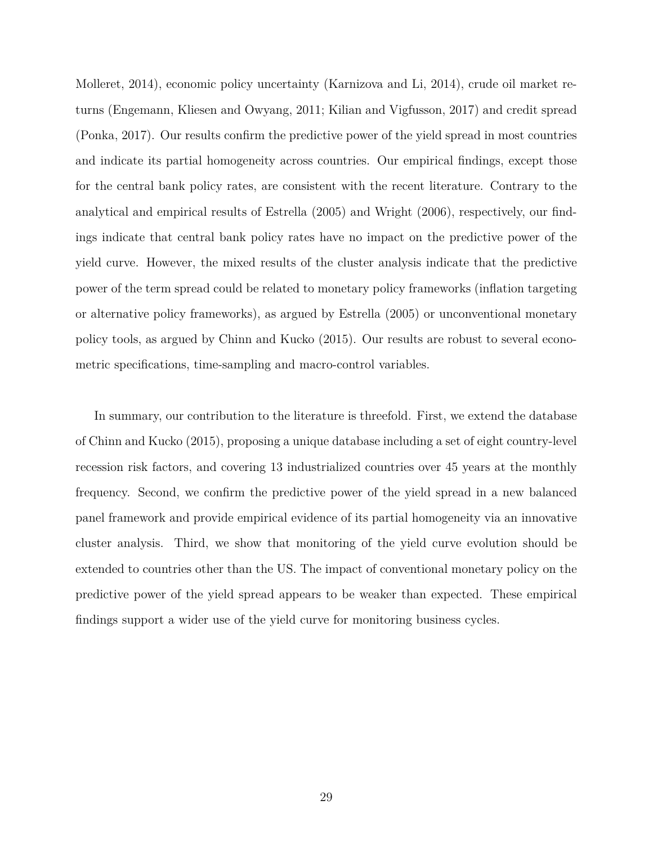Molleret, 2014), economic policy uncertainty (Karnizova and Li, 2014), crude oil market returns (Engemann, Kliesen and Owyang, 2011; Kilian and Vigfusson, 2017) and credit spread (Ponka, 2017). Our results confirm the predictive power of the yield spread in most countries and indicate its partial homogeneity across countries. Our empirical findings, except those for the central bank policy rates, are consistent with the recent literature. Contrary to the analytical and empirical results of Estrella (2005) and Wright (2006), respectively, our findings indicate that central bank policy rates have no impact on the predictive power of the yield curve. However, the mixed results of the cluster analysis indicate that the predictive power of the term spread could be related to monetary policy frameworks (inflation targeting or alternative policy frameworks), as argued by Estrella (2005) or unconventional monetary policy tools, as argued by Chinn and Kucko (2015). Our results are robust to several econometric specifications, time-sampling and macro-control variables.

In summary, our contribution to the literature is threefold. First, we extend the database of Chinn and Kucko (2015), proposing a unique database including a set of eight country-level recession risk factors, and covering 13 industrialized countries over 45 years at the monthly frequency. Second, we confirm the predictive power of the yield spread in a new balanced panel framework and provide empirical evidence of its partial homogeneity via an innovative cluster analysis. Third, we show that monitoring of the yield curve evolution should be extended to countries other than the US. The impact of conventional monetary policy on the predictive power of the yield spread appears to be weaker than expected. These empirical findings support a wider use of the yield curve for monitoring business cycles.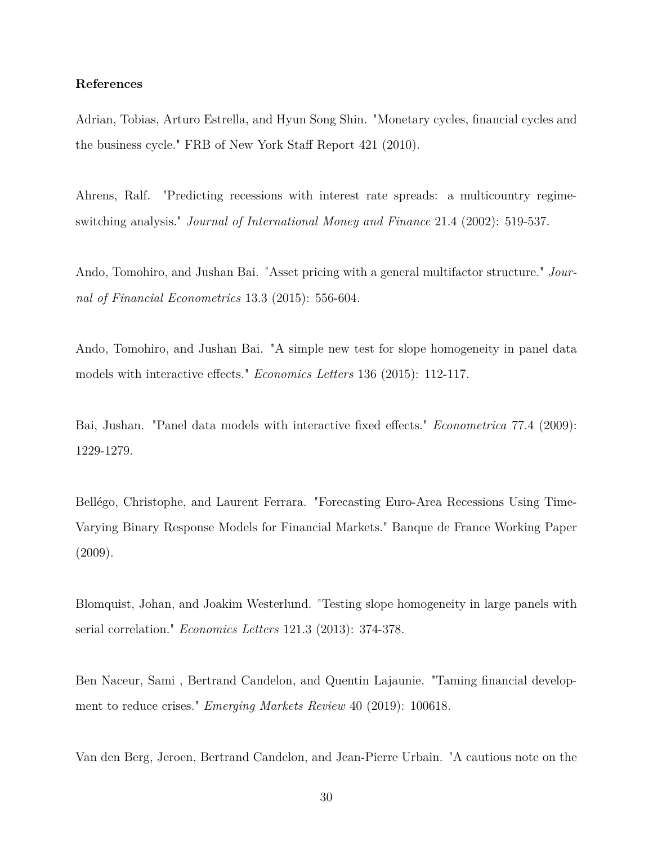#### **References**

Adrian, Tobias, Arturo Estrella, and Hyun Song Shin. "Monetary cycles, financial cycles and the business cycle." FRB of New York Staff Report 421 (2010).

Ahrens, Ralf. "Predicting recessions with interest rate spreads: a multicountry regimeswitching analysis." *Journal of International Money and Finance* 21.4 (2002): 519-537.

Ando, Tomohiro, and Jushan Bai. "Asset pricing with a general multifactor structure." *Journal of Financial Econometrics* 13.3 (2015): 556-604.

Ando, Tomohiro, and Jushan Bai. "A simple new test for slope homogeneity in panel data models with interactive effects." *Economics Letters* 136 (2015): 112-117.

Bai, Jushan. "Panel data models with interactive fixed effects." *Econometrica* 77.4 (2009): 1229-1279.

Bellégo, Christophe, and Laurent Ferrara. "Forecasting Euro-Area Recessions Using Time-Varying Binary Response Models for Financial Markets." Banque de France Working Paper (2009).

Blomquist, Johan, and Joakim Westerlund. "Testing slope homogeneity in large panels with serial correlation." *Economics Letters* 121.3 (2013): 374-378.

Ben Naceur, Sami , Bertrand Candelon, and Quentin Lajaunie. "Taming financial development to reduce crises." *Emerging Markets Review* 40 (2019): 100618.

Van den Berg, Jeroen, Bertrand Candelon, and Jean-Pierre Urbain. "A cautious note on the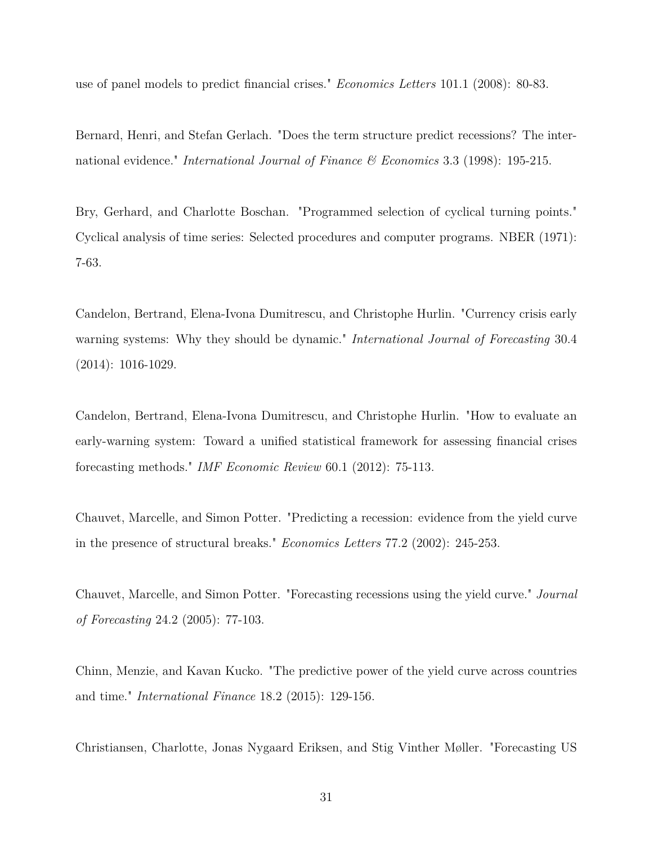use of panel models to predict financial crises." *Economics Letters* 101.1 (2008): 80-83.

Bernard, Henri, and Stefan Gerlach. "Does the term structure predict recessions? The international evidence." *International Journal of Finance & Economics* 3.3 (1998): 195-215.

Bry, Gerhard, and Charlotte Boschan. "Programmed selection of cyclical turning points." Cyclical analysis of time series: Selected procedures and computer programs. NBER (1971): 7-63.

Candelon, Bertrand, Elena-Ivona Dumitrescu, and Christophe Hurlin. "Currency crisis early warning systems: Why they should be dynamic." *International Journal of Forecasting* 30.4 (2014): 1016-1029.

Candelon, Bertrand, Elena-Ivona Dumitrescu, and Christophe Hurlin. "How to evaluate an early-warning system: Toward a unified statistical framework for assessing financial crises forecasting methods." *IMF Economic Review* 60.1 (2012): 75-113.

Chauvet, Marcelle, and Simon Potter. "Predicting a recession: evidence from the yield curve in the presence of structural breaks." *Economics Letters* 77.2 (2002): 245-253.

Chauvet, Marcelle, and Simon Potter. "Forecasting recessions using the yield curve." *Journal of Forecasting* 24.2 (2005): 77-103.

Chinn, Menzie, and Kavan Kucko. "The predictive power of the yield curve across countries and time." *International Finance* 18.2 (2015): 129-156.

Christiansen, Charlotte, Jonas Nygaard Eriksen, and Stig Vinther Møller. "Forecasting US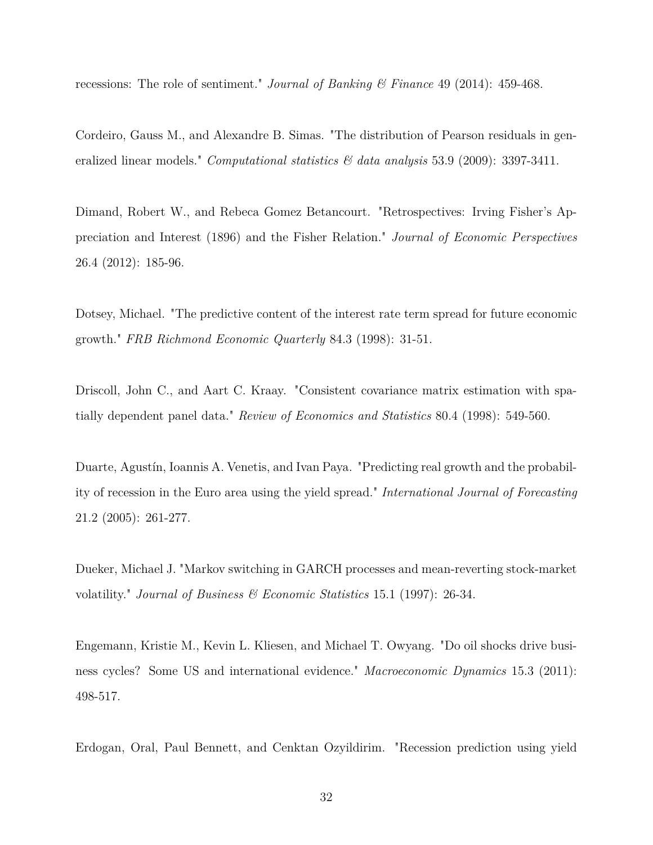recessions: The role of sentiment." *Journal of Banking & Finance* 49 (2014): 459-468.

Cordeiro, Gauss M., and Alexandre B. Simas. "The distribution of Pearson residuals in generalized linear models." *Computational statistics & data analysis* 53.9 (2009): 3397-3411.

Dimand, Robert W., and Rebeca Gomez Betancourt. "Retrospectives: Irving Fisher's Appreciation and Interest (1896) and the Fisher Relation." *Journal of Economic Perspectives* 26.4 (2012): 185-96.

Dotsey, Michael. "The predictive content of the interest rate term spread for future economic growth." *FRB Richmond Economic Quarterly* 84.3 (1998): 31-51.

Driscoll, John C., and Aart C. Kraay. "Consistent covariance matrix estimation with spatially dependent panel data." *Review of Economics and Statistics* 80.4 (1998): 549-560.

Duarte, Agustín, Ioannis A. Venetis, and Ivan Paya. "Predicting real growth and the probability of recession in the Euro area using the yield spread." *International Journal of Forecasting* 21.2 (2005): 261-277.

Dueker, Michael J. "Markov switching in GARCH processes and mean-reverting stock-market volatility." *Journal of Business & Economic Statistics* 15.1 (1997): 26-34.

Engemann, Kristie M., Kevin L. Kliesen, and Michael T. Owyang. "Do oil shocks drive business cycles? Some US and international evidence." *Macroeconomic Dynamics* 15.3 (2011): 498-517.

Erdogan, Oral, Paul Bennett, and Cenktan Ozyildirim. "Recession prediction using yield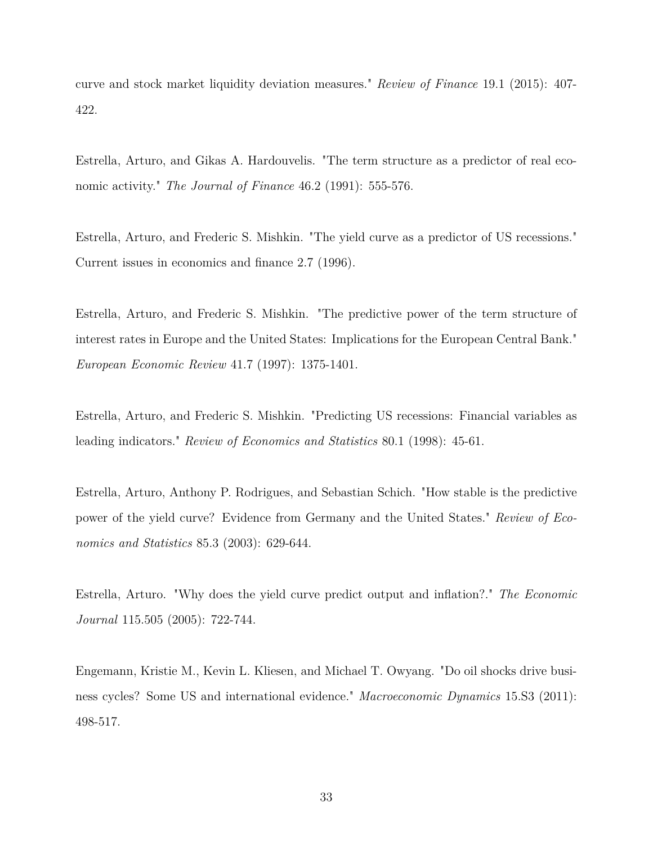curve and stock market liquidity deviation measures." *Review of Finance* 19.1 (2015): 407- 422.

Estrella, Arturo, and Gikas A. Hardouvelis. "The term structure as a predictor of real economic activity." *The Journal of Finance* 46.2 (1991): 555-576.

Estrella, Arturo, and Frederic S. Mishkin. "The yield curve as a predictor of US recessions." Current issues in economics and finance 2.7 (1996).

Estrella, Arturo, and Frederic S. Mishkin. "The predictive power of the term structure of interest rates in Europe and the United States: Implications for the European Central Bank." *European Economic Review* 41.7 (1997): 1375-1401.

Estrella, Arturo, and Frederic S. Mishkin. "Predicting US recessions: Financial variables as leading indicators." *Review of Economics and Statistics* 80.1 (1998): 45-61.

Estrella, Arturo, Anthony P. Rodrigues, and Sebastian Schich. "How stable is the predictive power of the yield curve? Evidence from Germany and the United States." *Review of Economics and Statistics* 85.3 (2003): 629-644.

Estrella, Arturo. "Why does the yield curve predict output and inflation?." *The Economic Journal* 115.505 (2005): 722-744.

Engemann, Kristie M., Kevin L. Kliesen, and Michael T. Owyang. "Do oil shocks drive business cycles? Some US and international evidence." *Macroeconomic Dynamics* 15.S3 (2011): 498-517.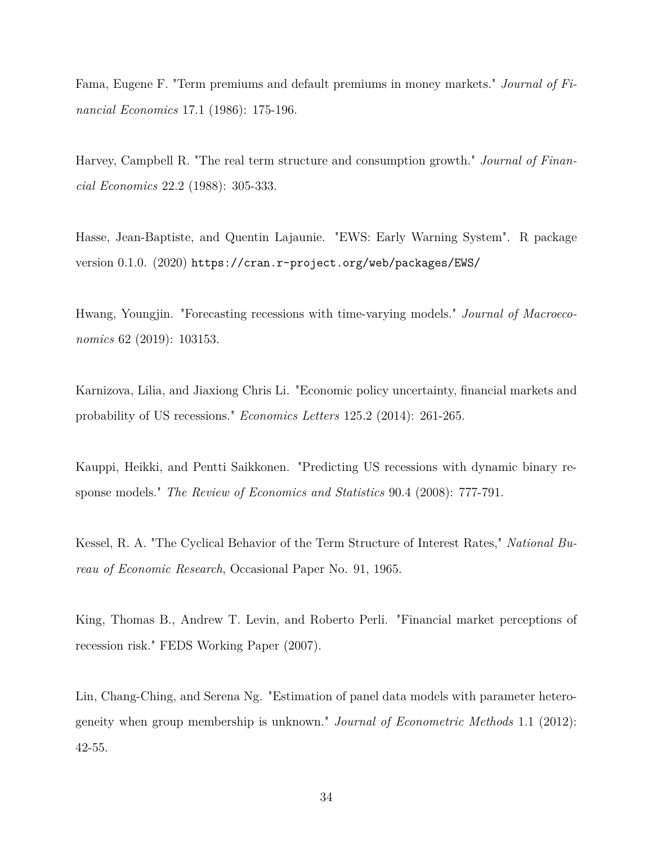Fama, Eugene F. "Term premiums and default premiums in money markets." *Journal of Financial Economics* 17.1 (1986): 175-196.

Harvey, Campbell R. "The real term structure and consumption growth." *Journal of Financial Economics* 22.2 (1988): 305-333.

Hasse, Jean-Baptiste, and Quentin Lajaunie. "EWS: Early Warning System". R package version 0.1.0. (2020) https://cran.r-project.org/web/packages/EWS/

Hwang, Youngjin. "Forecasting recessions with time-varying models." *Journal of Macroeconomics* 62 (2019): 103153.

Karnizova, Lilia, and Jiaxiong Chris Li. "Economic policy uncertainty, financial markets and probability of US recessions." *Economics Letters* 125.2 (2014): 261-265.

Kauppi, Heikki, and Pentti Saikkonen. "Predicting US recessions with dynamic binary response models." *The Review of Economics and Statistics* 90.4 (2008): 777-791.

Kessel, R. A. "The Cyclical Behavior of the Term Structure of Interest Rates," *National Bureau of Economic Research*, Occasional Paper No. 91, 1965.

King, Thomas B., Andrew T. Levin, and Roberto Perli. "Financial market perceptions of recession risk." FEDS Working Paper (2007).

Lin, Chang-Ching, and Serena Ng. "Estimation of panel data models with parameter heterogeneity when group membership is unknown." *Journal of Econometric Methods* 1.1 (2012): 42-55.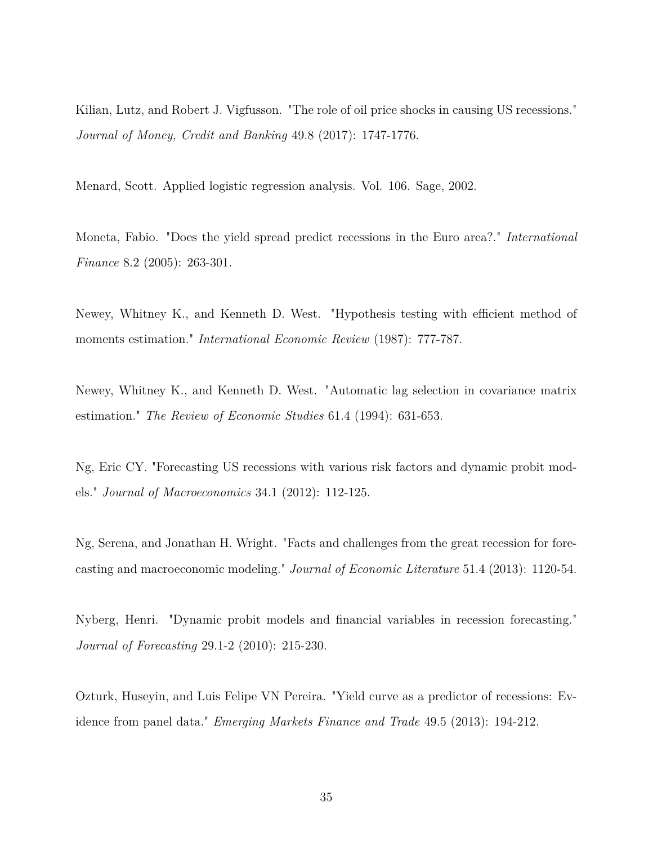Kilian, Lutz, and Robert J. Vigfusson. "The role of oil price shocks in causing US recessions." *Journal of Money, Credit and Banking* 49.8 (2017): 1747-1776.

Menard, Scott. Applied logistic regression analysis. Vol. 106. Sage, 2002.

Moneta, Fabio. "Does the yield spread predict recessions in the Euro area?." *International Finance* 8.2 (2005): 263-301.

Newey, Whitney K., and Kenneth D. West. "Hypothesis testing with efficient method of moments estimation." *International Economic Review* (1987): 777-787.

Newey, Whitney K., and Kenneth D. West. "Automatic lag selection in covariance matrix estimation." *The Review of Economic Studies* 61.4 (1994): 631-653.

Ng, Eric CY. "Forecasting US recessions with various risk factors and dynamic probit models." *Journal of Macroeconomics* 34.1 (2012): 112-125.

Ng, Serena, and Jonathan H. Wright. "Facts and challenges from the great recession for forecasting and macroeconomic modeling." *Journal of Economic Literature* 51.4 (2013): 1120-54.

Nyberg, Henri. "Dynamic probit models and financial variables in recession forecasting." *Journal of Forecasting* 29.1-2 (2010): 215-230.

Ozturk, Huseyin, and Luis Felipe VN Pereira. "Yield curve as a predictor of recessions: Evidence from panel data." *Emerging Markets Finance and Trade* 49.5 (2013): 194-212.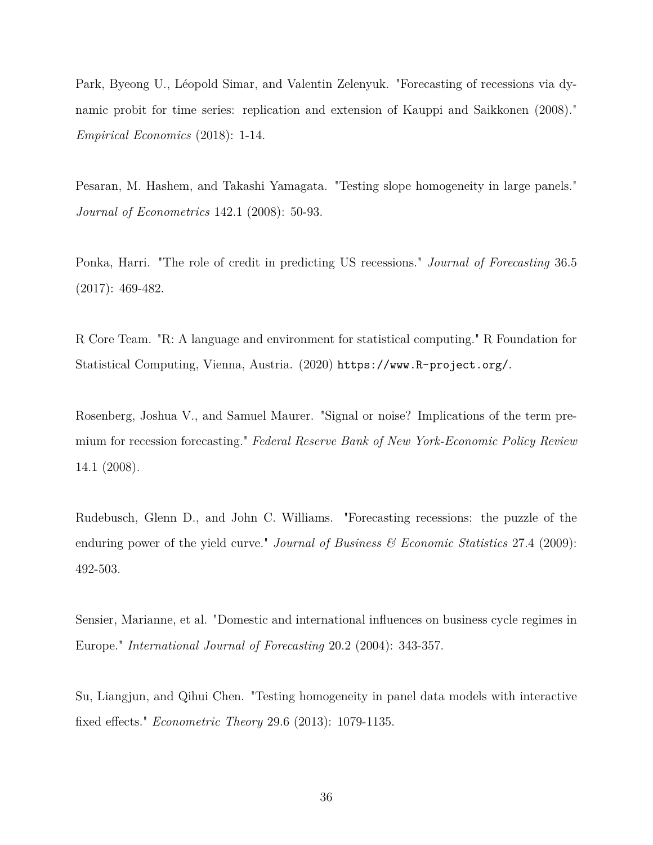Park, Byeong U., Léopold Simar, and Valentin Zelenyuk. "Forecasting of recessions via dynamic probit for time series: replication and extension of Kauppi and Saikkonen (2008)." *Empirical Economics* (2018): 1-14.

Pesaran, M. Hashem, and Takashi Yamagata. "Testing slope homogeneity in large panels." *Journal of Econometrics* 142.1 (2008): 50-93.

Ponka, Harri. "The role of credit in predicting US recessions." *Journal of Forecasting* 36.5 (2017): 469-482.

R Core Team. "R: A language and environment for statistical computing." R Foundation for Statistical Computing, Vienna, Austria. (2020) https://www.R-project.org/.

Rosenberg, Joshua V., and Samuel Maurer. "Signal or noise? Implications of the term premium for recession forecasting." *Federal Reserve Bank of New York-Economic Policy Review* 14.1 (2008).

Rudebusch, Glenn D., and John C. Williams. "Forecasting recessions: the puzzle of the enduring power of the yield curve." *Journal of Business & Economic Statistics* 27.4 (2009): 492-503.

Sensier, Marianne, et al. "Domestic and international influences on business cycle regimes in Europe." *International Journal of Forecasting* 20.2 (2004): 343-357.

Su, Liangjun, and Qihui Chen. "Testing homogeneity in panel data models with interactive fixed effects." *Econometric Theory* 29.6 (2013): 1079-1135.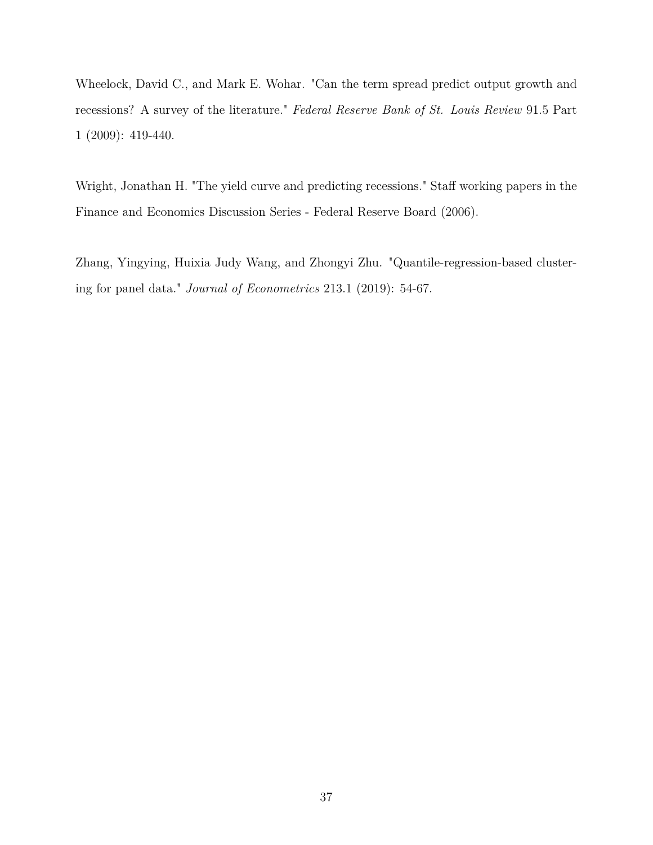Wheelock, David C., and Mark E. Wohar. "Can the term spread predict output growth and recessions? A survey of the literature." *Federal Reserve Bank of St. Louis Review* 91.5 Part 1 (2009): 419-440.

Wright, Jonathan H. "The yield curve and predicting recessions." Staff working papers in the Finance and Economics Discussion Series - Federal Reserve Board (2006).

Zhang, Yingying, Huixia Judy Wang, and Zhongyi Zhu. "Quantile-regression-based clustering for panel data." *Journal of Econometrics* 213.1 (2019): 54-67.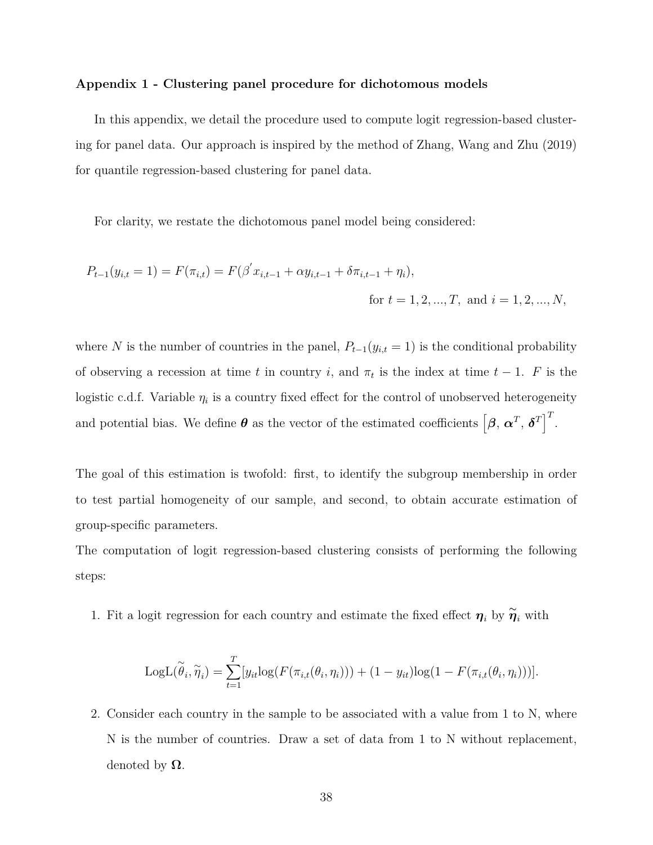#### **Appendix 1 - Clustering panel procedure for dichotomous models**

In this appendix, we detail the procedure used to compute logit regression-based clustering for panel data. Our approach is inspired by the method of Zhang, Wang and Zhu (2019) for quantile regression-based clustering for panel data.

For clarity, we restate the dichotomous panel model being considered:

$$
P_{t-1}(y_{i,t} = 1) = F(\pi_{i,t}) = F(\beta' x_{i,t-1} + \alpha y_{i,t-1} + \delta \pi_{i,t-1} + \eta_i),
$$
  
for  $t = 1, 2, ..., T$ , and  $i = 1, 2, ..., N$ ,

where *N* is the number of countries in the panel,  $P_{t-1}(y_{i,t} = 1)$  is the conditional probability of observing a recession at time *t* in country *i*, and  $\pi_t$  is the index at time  $t-1$ . *F* is the logistic c.d.f. Variable  $\eta_i$  is a country fixed effect for the control of unobserved heterogeneity and potential bias. We define  $\theta$  as the vector of the estimated coefficients  $\begin{bmatrix} \beta, \alpha^T, \delta^T \end{bmatrix}^T$ .

The goal of this estimation is twofold: first, to identify the subgroup membership in order to test partial homogeneity of our sample, and second, to obtain accurate estimation of group-specific parameters.

The computation of logit regression-based clustering consists of performing the following steps:

1. Fit a logit regression for each country and estimate the fixed effect  $\eta_i$  by  $\widetilde{\eta}_i$  with

LogL(
$$
\widetilde{\theta}_i, \widetilde{\eta}_i
$$
) =  $\sum_{t=1}^T [y_{it}log(F(\pi_{i,t}(\theta_i, \eta_i))) + (1 - y_{it})log(1 - F(\pi_{i,t}(\theta_i, \eta_i)))].$ 

2. Consider each country in the sample to be associated with a value from 1 to N, where N is the number of countries. Draw a set of data from 1 to N without replacement, denoted by **Ω**.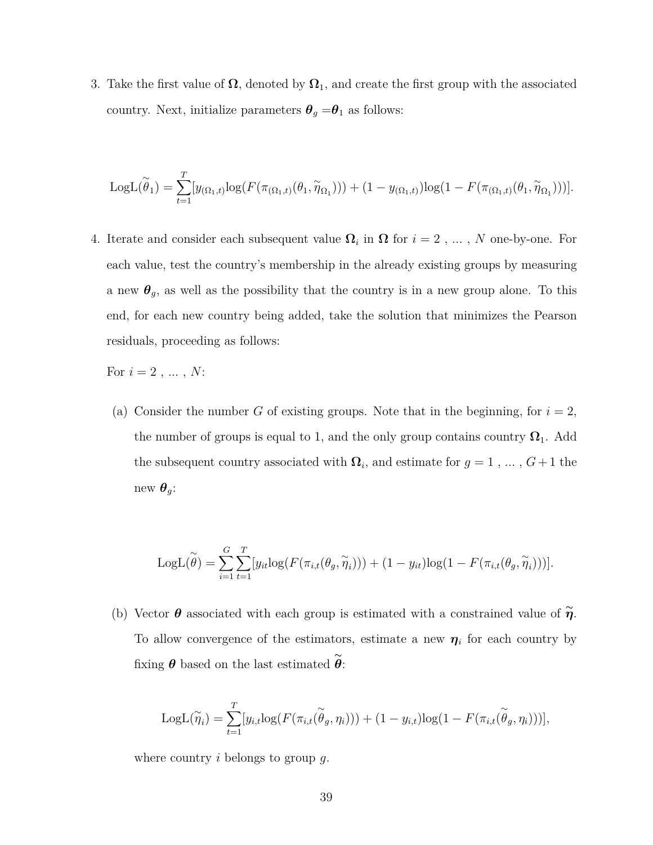3. Take the first value of  $\Omega$ , denoted by  $\Omega_1$ , and create the first group with the associated country. Next, initialize parameters  $\theta_g = \theta_1$  as follows:

LogL(
$$
\tilde{\theta}_1
$$
) =  $\sum_{t=1}^T [y_{(\Omega_1,t)}log(F(\pi_{(\Omega_1,t)}(\theta_1, \tilde{\eta}_{\Omega_1}))) + (1 - y_{(\Omega_1,t)})log(1 - F(\pi_{(\Omega_1,t)}(\theta_1, \tilde{\eta}_{\Omega_1})))].$ 

4. Iterate and consider each subsequent value  $\Omega_i$  in  $\Omega$  for  $i = 2, \ldots, N$  one-by-one. For each value, test the country's membership in the already existing groups by measuring a new  $\theta_g$ , as well as the possibility that the country is in a new group alone. To this end, for each new country being added, take the solution that minimizes the Pearson residuals, proceeding as follows:

For  $i = 2, ..., N$ :

(a) Consider the number *G* of existing groups. Note that in the beginning, for  $i = 2$ , the number of groups is equal to 1, and the only group contains country  $\Omega_1$ . Add the subsequent country associated with  $\Omega_i$ , and estimate for  $g = 1, \ldots, G+1$  the new  $\boldsymbol{\theta}_g$ :

LogL(
$$
\widetilde{\theta}
$$
) =  $\sum_{i=1}^{G} \sum_{t=1}^{T} [y_{it} log(F(\pi_{i,t}(\theta_g, \widetilde{\eta}_i))) + (1 - y_{it})log(1 - F(\pi_{i,t}(\theta_g, \widetilde{\eta}_i)))].$ 

(b) Vector  $\theta$  associated with each group is estimated with a constrained value of  $\tilde{\eta}$ . To allow convergence of the estimators, estimate a new  $\eta_i$  for each country by fixing  $\theta$  based on the last estimated  $\widetilde{\theta}$ :

LogL(
$$
\widetilde{\eta}_i
$$
) =  $\sum_{t=1}^T [y_{i,t}log(F(\pi_{i,t}(\widetilde{\theta}_g, \eta_i))) + (1 - y_{i,t})log(1 - F(\pi_{i,t}(\widetilde{\theta}_g, \eta_i)))],$ 

where country *i* belongs to group *g*.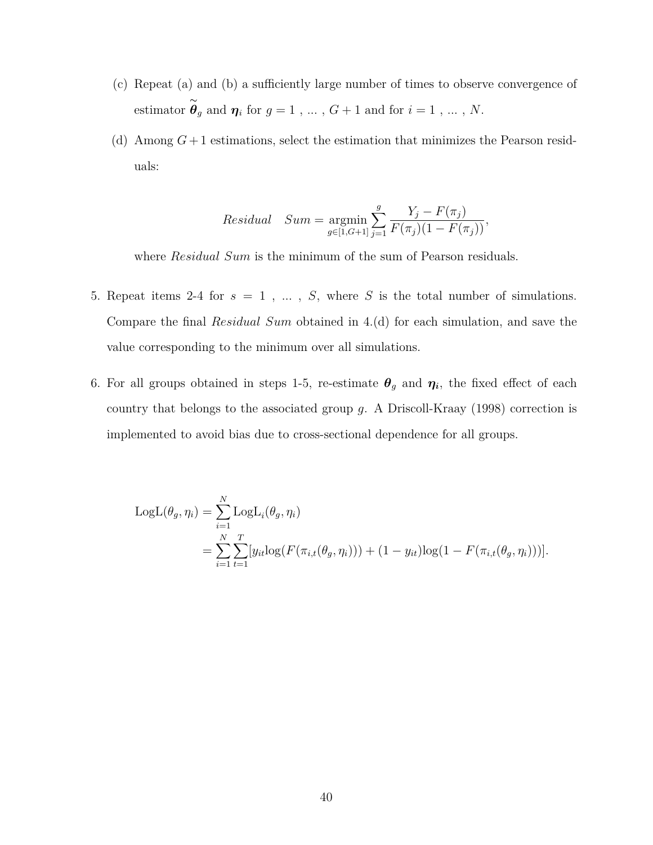- (c) Repeat (a) and (b) a sufficiently large number of times to observe convergence of estimator  $\stackrel{\sim}{\theta}_g$  and  $\eta_i$  for  $g = 1, \ldots, G+1$  and for  $i = 1, \ldots, N$ .
- (d) Among  $G+1$  estimations, select the estimation that minimizes the Pearson residuals:

Residual 
$$
Sum = \underset{g \in [1, G+1]}{\text{argmin}} \sum_{j=1}^{g} \frac{Y_j - F(\pi_j)}{F(\pi_j)(1 - F(\pi_j))},
$$

where *Residual Sum* is the minimum of the sum of Pearson residuals.

- 5. Repeat items 2-4 for  $s = 1$ ,  $\dots$ ,  $S$ , where  $S$  is the total number of simulations. Compare the final *Residual Sum* obtained in 4.(d) for each simulation, and save the value corresponding to the minimum over all simulations.
- 6. For all groups obtained in steps 1-5, re-estimate  $\theta_g$  and  $\eta_i$ , the fixed effect of each country that belongs to the associated group *g*. A Driscoll-Kraay (1998) correction is implemented to avoid bias due to cross-sectional dependence for all groups.

$$
LogL(\theta_g, \eta_i) = \sum_{i=1}^N LogL_i(\theta_g, \eta_i)
$$
  
= 
$$
\sum_{i=1}^N \sum_{t=1}^T [y_{it}log(F(\pi_{i,t}(\theta_g, \eta_i))) + (1 - y_{it})log(1 - F(\pi_{i,t}(\theta_g, \eta_i)))].
$$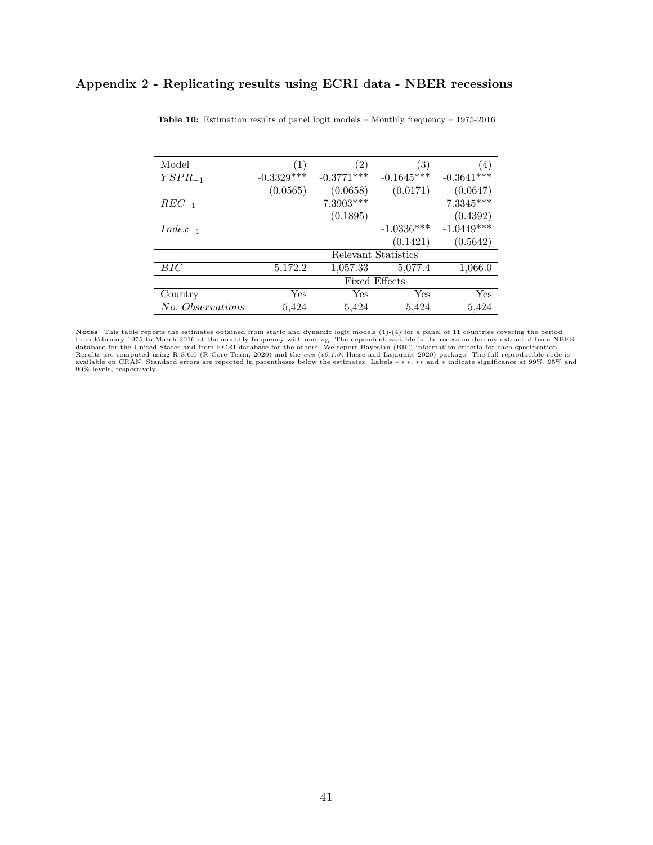### **Appendix 2 - Replicating results using ECRI data - NBER recessions**

| Model            |                         | $\left 2\right\rangle$  | $\left(3\right)$ | 4            |  |
|------------------|-------------------------|-------------------------|------------------|--------------|--|
| $YSPR_{-1}$      | $-0.3\overline{329***}$ | $-0.37\overline{71***}$ | $-0.1645***$     | $-0.3641***$ |  |
|                  | (0.0565)                | (0.0658)                | (0.0171)         | (0.0647)     |  |
| $REC_{-1}$       |                         | 7.3903***               |                  | $7.3345***$  |  |
|                  |                         | (0.1895)                |                  | (0.4392)     |  |
| $Index_{-1}$     |                         |                         | $-1.0336***$     | $-1.0449***$ |  |
|                  |                         |                         | (0.1421)         | (0.5642)     |  |
|                  | Relevant Statistics     |                         |                  |              |  |
| BIC              | 5,172.2                 | 1,057.33                | 5,077.4          | 1,066.0      |  |
|                  | <b>Fixed Effects</b>    |                         |                  |              |  |
| Country          | Yes                     | Yes                     | Yes              | Yes          |  |
| No. Observations | 5,424                   | 5.424                   | 5,424            | 5,424        |  |

**Table 10:** Estimation results of panel logit models – Monthly frequency – 1975-2016

**Notes:** This table reports the estimates obtained from static and dynamic logit models (1)-(4) for a panel of 11 countries covering the period from ECRI database for the United States and from ECRI database for the other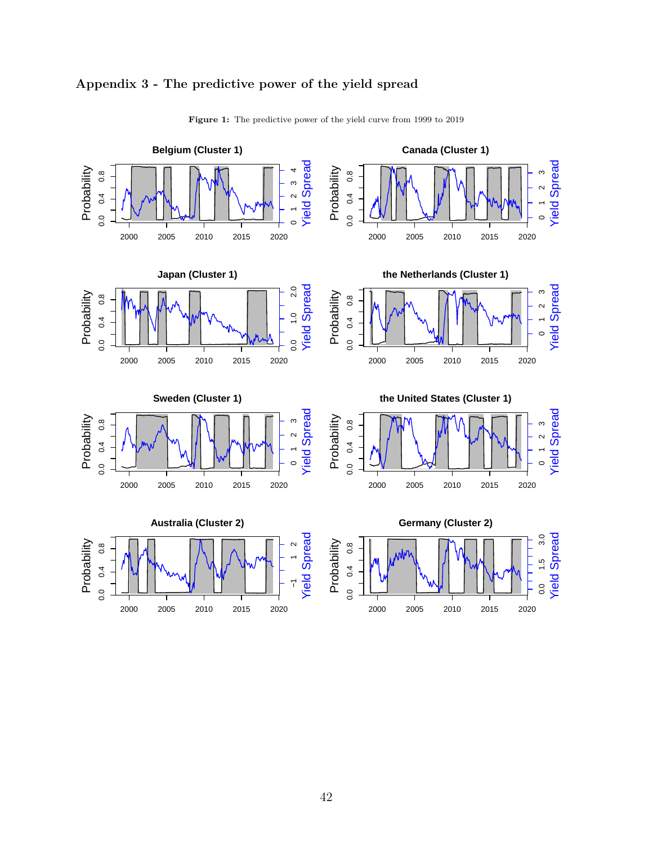

#### **Appendix 3 - The predictive power of the yield spread**

42